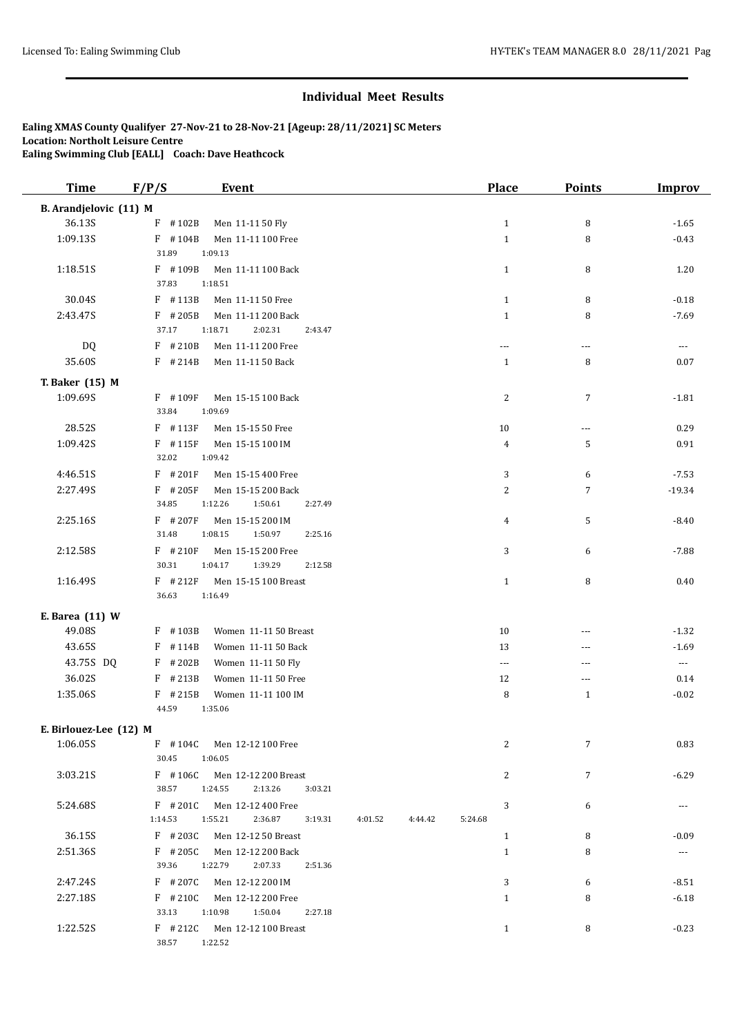| <b>Time</b>            | F/P/S<br><b>Event</b>                                          | <b>Place</b>             | <b>Points</b>  | <b>Improv</b>         |
|------------------------|----------------------------------------------------------------|--------------------------|----------------|-----------------------|
| B. Arandjelovic (11) M |                                                                |                          |                |                       |
| 36.13S                 | $F$ #102B<br>Men 11-11 50 Fly                                  | $\mathbf{1}$             | 8              | $-1.65$               |
| 1:09.13S               | $F$ #104B<br>Men 11-11 100 Free                                | $\mathbf{1}$             | 8              | $-0.43$               |
|                        | 31.89<br>1:09.13                                               |                          |                |                       |
| 1:18.51S               | $F$ #109B<br>Men 11-11 100 Back                                | $\mathbf{1}$             | 8              | 1.20                  |
|                        | 37.83<br>1:18.51                                               |                          |                |                       |
| 30.04S                 | $F$ #113B<br>Men 11-11 50 Free                                 | $\mathbf{1}$             | 8              | $-0.18$               |
| 2:43.47S               | F #205B<br>Men 11-11 200 Back                                  | $\mathbf{1}$             | 8              | $-7.69$               |
|                        | 2:02.31<br>37.17<br>1:18.71<br>2:43.47                         |                          |                |                       |
| DQ                     | $F$ #210B<br>Men 11-11 200 Free                                | $- - -$                  | ---            | $\cdots$              |
| 35.60S                 | $F$ # 214B<br>Men 11-11 50 Back                                | $\mathbf{1}$             | 8              | 0.07                  |
| T. Baker (15) M        |                                                                |                          |                |                       |
| 1:09.69S               | F #109F<br>Men 15-15 100 Back                                  | 2                        | $\sqrt{7}$     | $-1.81$               |
|                        | 33.84<br>1:09.69                                               |                          |                |                       |
| 28.52S                 | $F$ #113F<br>Men 15-15 50 Free                                 | 10                       | $\cdots$       | 0.29                  |
| 1:09.42S               | $F$ #115F<br>Men 15-15 100 IM                                  | 4                        | 5              | 0.91                  |
|                        | 32.02<br>1:09.42                                               |                          |                |                       |
| 4:46.51S               | $F$ #201F<br>Men 15-15 400 Free                                | 3                        | 6              | $-7.53$               |
| 2:27.49S               | $F$ #205F<br>Men 15-15 200 Back                                | 2                        | $\overline{7}$ | $-19.34$              |
|                        | 34.85<br>1:12.26<br>1:50.61<br>2:27.49                         |                          |                |                       |
| 2:25.16S               | $F$ # 207F<br>Men 15-15 200 IM                                 | 4                        | 5              | $-8.40$               |
|                        | 31.48<br>1:08.15<br>1:50.97<br>2:25.16                         |                          |                |                       |
| 2:12.58S               | $F$ # 210F<br>Men 15-15 200 Free                               | 3                        | 6              | $-7.88$               |
|                        | 30.31<br>1:39.29<br>1:04.17<br>2:12.58                         |                          |                |                       |
| 1:16.49S               | $F$ # 212F<br>Men 15-15 100 Breast                             | $\mathbf{1}$             | 8              | 0.40                  |
|                        | 36.63<br>1:16.49                                               |                          |                |                       |
| E. Barea (11) W        |                                                                |                          |                |                       |
| 49.08S                 | F #103B<br>Women 11-11 50 Breast                               | 10                       | $\overline{a}$ | $-1.32$               |
| 43.65S                 | F #114B<br>Women 11-11 50 Back                                 | 13                       | ---            | $-1.69$               |
| 43.75S DQ              | $F$ # 202B<br>Women 11-11 50 Fly                               | $\overline{\phantom{a}}$ | ---            | $\scriptstyle \cdots$ |
| 36.02S                 | $F$ # 213B<br>Women 11-11 50 Free                              | 12                       | ---            | 0.14                  |
| 1:35.06S               | $F$ # 215B<br>Women 11-11 100 IM                               | 8                        | $\mathbf{1}$   | $-0.02$               |
|                        | 44.59<br>1:35.06                                               |                          |                |                       |
| E. Birlouez-Lee (12) M |                                                                |                          |                |                       |
| 1:06.05S               | F #104C Men 12-12 100 Free                                     | 2                        | $\overline{7}$ | 0.83                  |
|                        | 30.45<br>1:06.05                                               |                          |                |                       |
| 3:03.21S               | F #106C Men 12-12 200 Breast                                   | 2                        | $\overline{7}$ | $-6.29$               |
|                        | 38.57<br>1:24.55<br>2:13.26<br>3:03.21                         |                          |                |                       |
| 5:24.68S               | F #201C Men 12-12 400 Free                                     | 3                        | 6              | $\cdots$              |
|                        | 1:14.53<br>1:55.21<br>2:36.87<br>3:19.31<br>4:01.52<br>4.44.42 | 5:24.68                  |                |                       |
| 36.15S                 | F #203C Men 12-12 50 Breast                                    | $\mathbf{1}$             | 8              | $-0.09$               |
| 2:51.36S               | F #205C Men 12-12 200 Back                                     | $\mathbf{1}$             | 8              | $\cdots$              |
|                        | 39.36<br>1:22.79<br>2:07.33<br>2:51.36                         |                          |                |                       |
| 2:47.24S               | F #207C Men 12-12 200 IM                                       | 3                        | 6              | $-8.51$               |
| 2:27.18S               | F #210C Men 12-12 200 Free                                     | $\mathbf{1}$             | 8              | $-6.18$               |
|                        | 33.13<br>1:10.98<br>1:50.04<br>2:27.18                         |                          |                |                       |
| 1:22.52S               | F #212C Men 12-12 100 Breast                                   | $\mathbf{1}$             | 8              | $-0.23$               |
|                        | 38.57 1:22.52                                                  |                          |                |                       |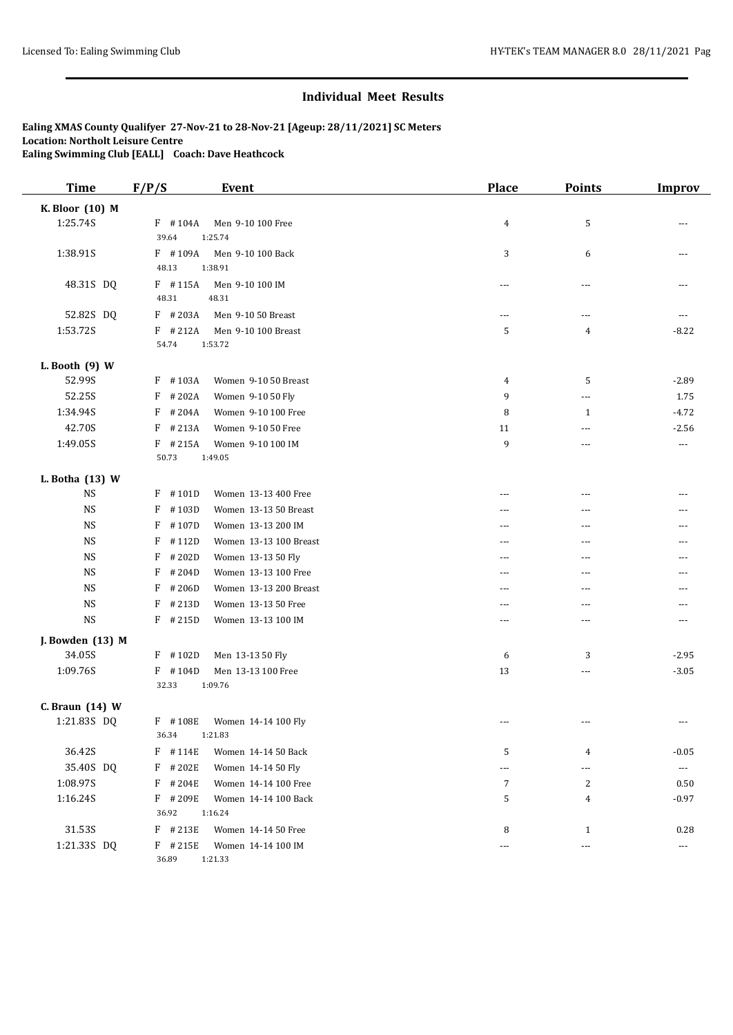| <b>Time</b>      | F/P/S            | <b>Event</b>           | Place          | Points                   | <b>Improv</b>         |
|------------------|------------------|------------------------|----------------|--------------------------|-----------------------|
| K. Bloor (10) M  |                  |                        |                |                          |                       |
| 1:25.74S         | $F$ #104A        | Men 9-10 100 Free      | 4              | 5                        |                       |
|                  | 39.64            | 1:25.74                |                |                          |                       |
| 1:38.91S         | F #109A          | Men 9-10 100 Back      | 3              | 6                        | ---                   |
|                  | 48.13            | 1:38.91                |                |                          |                       |
| 48.31S DQ        | $F$ #115A        | Men 9-10 100 IM        | $\overline{a}$ | ---                      | $---$                 |
|                  | 48.31            | 48.31                  |                |                          |                       |
| 52.82S DQ        | $F$ #203A        | Men 9-10 50 Breast     | $---$          | ---                      | ---                   |
| 1:53.72S         | $F$ #212A        | Men 9-10 100 Breast    | 5              | 4                        | $-8.22$               |
|                  | 54.74            | 1:53.72                |                |                          |                       |
| L. Booth $(9)$ W |                  |                        |                |                          |                       |
| 52.99S           | $F$ #103A        | Women 9-10 50 Breast   | 4              | 5                        | $-2.89$               |
| 52.25S           | #202A<br>F       | Women 9-10 50 Fly      | 9              | ---                      | 1.75                  |
| 1:34.94S         | #204A<br>F       | Women 9-10 100 Free    | 8              | $\mathbf{1}$             | $-4.72$               |
| 42.70S           | #213A<br>$\rm F$ | Women 9-10 50 Free     | 11             | $\cdots$                 | $-2.56$               |
| 1:49.05S         | $F$ # 215A       | Women 9-10 100 IM      | 9              | ---                      | $\scriptstyle \cdots$ |
|                  | 50.73            | 1:49.05                |                |                          |                       |
| L. Botha (13) W  |                  |                        |                |                          |                       |
| <b>NS</b>        | $F$ #101D        | Women 13-13 400 Free   | ---            | ---                      |                       |
| <b>NS</b>        | F<br>#103D       | Women 13-13 50 Breast  | $---$          | $---$                    |                       |
| NS               | F<br>#107D       | Women 13-13 200 IM     | $---$          | ---                      |                       |
| <b>NS</b>        | F<br>#112D       | Women 13-13 100 Breast | ---            | ---                      |                       |
| NS               | F<br>#202D       | Women 13-13 50 Fly     | $--$           | ---                      | ---                   |
| <b>NS</b>        | F<br>#204D       | Women 13-13 100 Free   | ---            | ---                      |                       |
| <b>NS</b>        | F<br>#206D       | Women 13-13 200 Breast | $---$          | ---                      |                       |
| <b>NS</b>        | #213D<br>F       | Women 13-13 50 Free    | ---            | ---                      |                       |
| <b>NS</b>        | $F$ # 215D       | Women 13-13 100 IM     | $---$          | $- - -$                  | $---$                 |
| J. Bowden (13) M |                  |                        |                |                          |                       |
| 34.05S           | $F$ #102D        | Men 13-13 50 Fly       | 6              | 3                        | $-2.95$               |
| 1:09.76S         | $F$ #104D        | Men 13-13 100 Free     | 13             | $\cdots$                 | $-3.05$               |
|                  | 32.33            | 1:09.76                |                |                          |                       |
| C. Braun (14) W  |                  |                        |                |                          |                       |
| 1:21.83S DQ      | $F$ #108E        | Women 14-14 100 Fly    | $\overline{a}$ | ---                      | $---$                 |
|                  | 36.34            | 1:21.83                |                |                          |                       |
| 36.42S           | $F$ # 114E       | Women 14-14 50 Back    | 5              | 4                        | $-0.05$               |
| 35.40S DQ        | F #202E          | Women 14-14 50 Fly     | $\overline{a}$ | ---                      | $\cdots$              |
| 1:08.97S         | F #204E          | Women 14-14 100 Free   | 7              | 2                        | 0.50                  |
| 1:16.24S         | F #209E          | Women 14-14 100 Back   | 5              | 4                        | $-0.97$               |
|                  | 36.92            | 1:16.24                |                |                          |                       |
| 31.53S           | $F$ # 213E       | Women 14-14 50 Free    | 8              | $\mathbf{1}$             | 0.28                  |
| 1:21.33S DQ      | $F$ # 215E       | Women 14-14 100 IM     | $---$          | $\overline{\phantom{a}}$ | $\cdots$              |
|                  | 36.89            | 1:21.33                |                |                          |                       |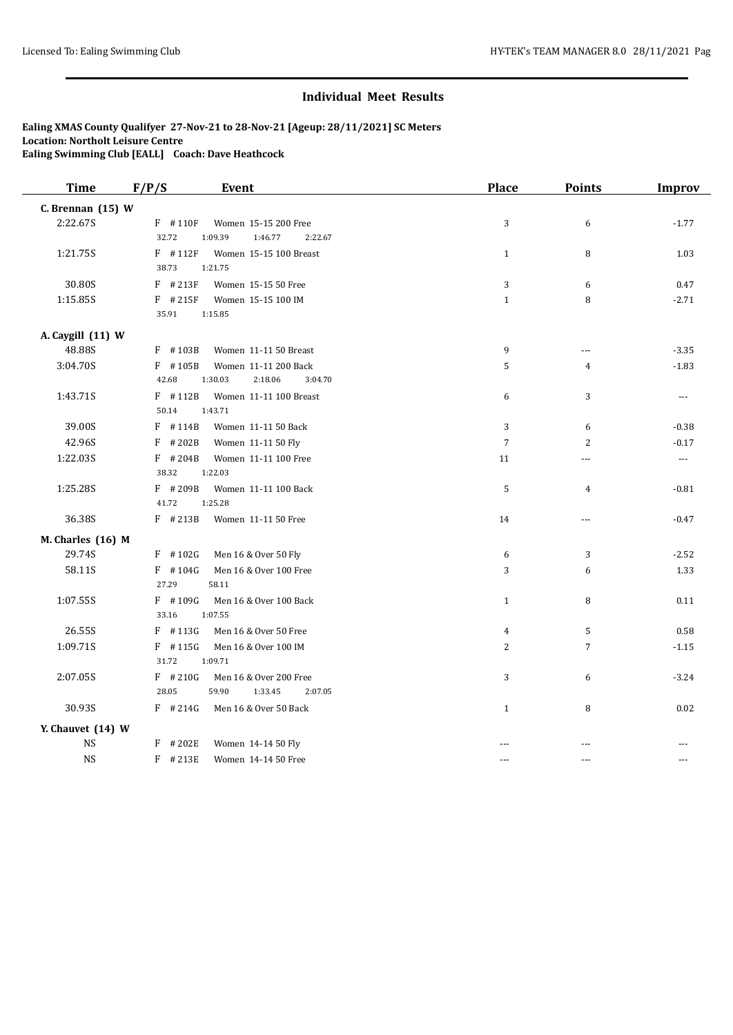| <b>Time</b>         | F/P/S<br><b>Event</b>                                                        | <b>Place</b>   | <b>Points</b>  | <b>Improv</b> |
|---------------------|------------------------------------------------------------------------------|----------------|----------------|---------------|
| C. Brennan $(15)$ W |                                                                              |                |                |               |
| 2:22.67S            | $F$ #110F<br>Women 15-15 200 Free<br>32.72<br>1:09.39<br>1:46.77<br>2:22.67  | 3              | 6              | $-1.77$       |
| 1:21.75S            | $F$ #112F<br>Women 15-15 100 Breast<br>38.73<br>1:21.75                      | $\mathbf{1}$   | 8              | 1.03          |
| 30.80S              | $F$ # 213F<br>Women 15-15 50 Free                                            | 3              | 6              | 0.47          |
| 1:15.85S            | $F$ #215F<br>Women 15-15 100 IM<br>35.91<br>1:15.85                          | $\mathbf{1}$   | 8              | $-2.71$       |
| A. Caygill (11) W   |                                                                              |                |                |               |
| 48.88S              | $F$ #103B<br>Women 11-11 50 Breast                                           | 9              | ---            | $-3.35$       |
| 3:04.70S            | $F$ #105B<br>Women 11-11 200 Back<br>42.68<br>1:30.03<br>2:18.06<br>3:04.70  | 5              | 4              | $-1.83$       |
| 1:43.71S            | $F$ #112B<br>Women 11-11 100 Breast<br>50.14<br>1:43.71                      | 6              | 3              | ---           |
| 39.00S              | $F$ #114B<br>Women 11-11 50 Back                                             | 3              | 6              | $-0.38$       |
| 42.96S              | $F$ # 202B<br>Women 11-11 50 Fly                                             | $\overline{7}$ | 2              | $-0.17$       |
| 1:22.03S            | $F$ # 204B<br>Women 11-11 100 Free<br>38.32<br>1:22.03                       | 11             | ---            | ---           |
| 1:25.28S            | $F$ # 209B<br>Women 11-11 100 Back<br>41.72<br>1:25.28                       | 5              | $\overline{4}$ | $-0.81$       |
| 36.38S              | $F$ # 213B<br>Women 11-11 50 Free                                            | 14             | ---            | $-0.47$       |
| M. Charles (16) M   |                                                                              |                |                |               |
| 29.74S              | $F$ #102G<br>Men 16 & Over 50 Fly                                            | 6              | 3              | $-2.52$       |
| 58.11S              | $F$ #104G<br>Men 16 & Over 100 Free<br>27.29<br>58.11                        | 3              | 6              | 1.33          |
| 1:07.55S            | $F$ #109G<br>Men 16 & Over 100 Back<br>33.16<br>1:07.55                      | $\mathbf{1}$   | 8              | 0.11          |
| 26.55S              | $F$ #113G<br>Men 16 & Over 50 Free                                           | 4              | 5              | 0.58          |
| 1:09.71S            | $F$ #115G<br>Men 16 & Over 100 IM<br>31.72<br>1:09.71                        | $\overline{c}$ | $\overline{7}$ | $-1.15$       |
| 2:07.05S            | $F$ # 210G<br>Men 16 & Over 200 Free<br>28.05<br>59.90<br>1:33.45<br>2:07.05 | 3              | 6              | $-3.24$       |
| 30.93S              | $F$ # 214G<br>Men 16 & Over 50 Back                                          | $\mathbf{1}$   | 8              | 0.02          |
| Y. Chauvet (14) W   |                                                                              |                |                |               |
| <b>NS</b>           | $F$ # 202E<br>Women 14-14 50 Fly                                             |                | $\overline{a}$ |               |
| <b>NS</b>           | F #213E<br>Women 14-14 50 Free                                               | $---$          | ---            | $---$         |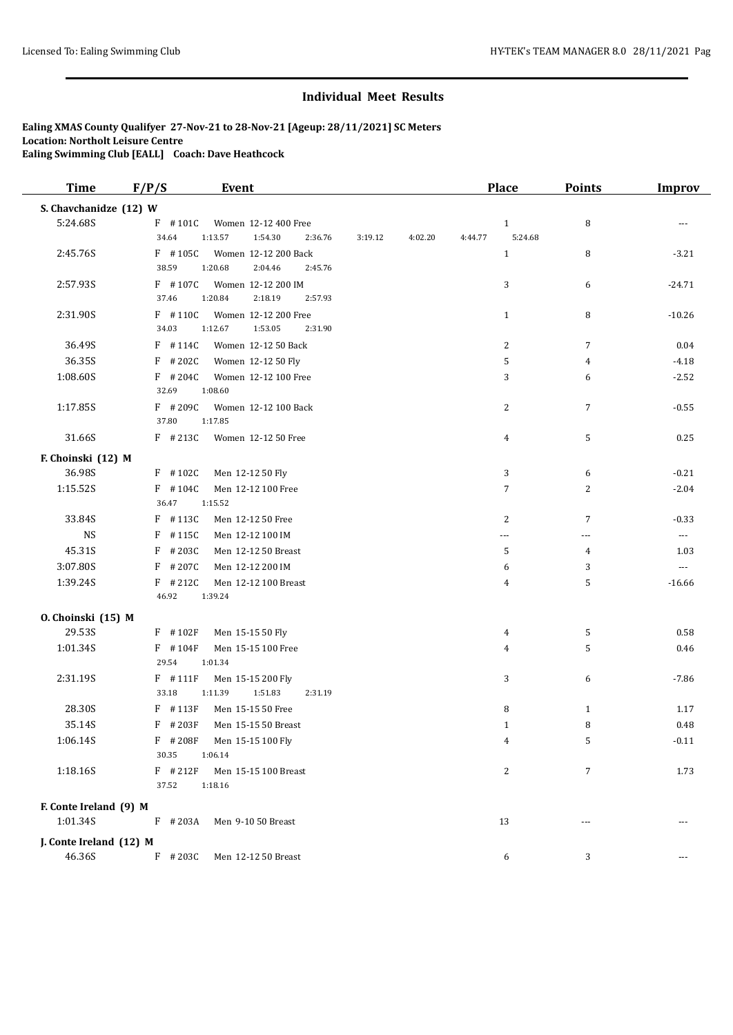| <b>Time</b>                       | F/P/S              | <b>Event</b>                                          |         |                    | Place          | Points         | <b>Improv</b> |
|-----------------------------------|--------------------|-------------------------------------------------------|---------|--------------------|----------------|----------------|---------------|
| S. Chavchanidze (12) W            |                    |                                                       |         |                    |                |                |               |
| 5:24.68S                          | $F$ #101C          | Women 12-12 400 Free                                  |         |                    | $\mathbf{1}$   | 8              |               |
|                                   | 34.64              | 1:13.57<br>1:54.30<br>2:36.76                         | 3:19.12 | 4:02.20<br>4:44.77 | 5:24.68        |                |               |
| 2:45.76S                          | $F$ #105C          | Women 12-12 200 Back                                  |         |                    | $\mathbf{1}$   | 8              | $-3.21$       |
|                                   | 38.59              | 1:20.68<br>2:04.46<br>2:45.76                         |         |                    |                |                |               |
| 2:57.93S                          | $F$ #107C<br>37.46 | Women 12-12 200 IM                                    |         |                    | 3              | 6              | $-24.71$      |
|                                   |                    | 1:20.84<br>2:18.19<br>2:57.93                         |         |                    |                |                |               |
| 2:31.90S                          | $F$ #110C<br>34.03 | Women 12-12 200 Free<br>1:12.67<br>1:53.05<br>2:31.90 |         |                    | $\mathbf{1}$   | 8              | $-10.26$      |
| 36.49S                            | $F$ #114C          | Women 12-12 50 Back                                   |         |                    | $\overline{c}$ | $\overline{7}$ | 0.04          |
| 36.35S                            | $F$ # 202C         | Women 12-12 50 Fly                                    |         |                    | 5              | 4              | $-4.18$       |
| 1:08.60S                          | $F$ # 204C         | Women 12-12 100 Free                                  |         |                    | 3              | 6              | $-2.52$       |
|                                   | 32.69              | 1:08.60                                               |         |                    |                |                |               |
| 1:17.85S                          | $F$ # 209C         | Women 12-12 100 Back                                  |         |                    | 2              | $\overline{7}$ | $-0.55$       |
|                                   | 37.80              | 1:17.85                                               |         |                    |                |                |               |
| 31.66S                            | $F$ #213C          | Women 12-12 50 Free                                   |         |                    | 4              | 5              | 0.25          |
| F. Choinski (12) M                |                    |                                                       |         |                    |                |                |               |
| 36.98S                            | $F$ #102C          | Men 12-12 50 Fly                                      |         |                    | 3              | 6              | $-0.21$       |
| 1:15.52S                          | $F$ #104C          | Men 12-12 100 Free                                    |         |                    | $\overline{7}$ | $\overline{2}$ | $-2.04$       |
|                                   | 36.47              | 1:15.52                                               |         |                    |                |                |               |
| 33.84S                            | $F$ #113C          | Men 12-12 50 Free                                     |         |                    | 2              | $\overline{7}$ | $-0.33$       |
| <b>NS</b>                         | $F$ #115C          | Men 12-12 100 IM                                      |         |                    | ---            | ---            | $\cdots$      |
| 45.31S                            | F<br>#203C         | Men 12-12 50 Breast                                   |         |                    | 5              | 4              | 1.03          |
| 3:07.80S                          | F #207C            | Men 12-12 200 IM                                      |         |                    | 6              | 3              | $---$         |
| 1:39.24S                          | $F$ # 212C         | Men 12-12 100 Breast                                  |         |                    | 4              | 5              | $-16.66$      |
|                                   | 46.92              | 1:39.24                                               |         |                    |                |                |               |
| 0. Choinski (15) M                |                    |                                                       |         |                    |                |                |               |
| 29.53S                            | F #102F            | Men 15-15 50 Fly                                      |         |                    | 4              | 5              | 0.58          |
| 1:01.34S                          | $F$ #104F          | Men 15-15 100 Free                                    |         |                    | 4              | 5              | 0.46          |
|                                   | 29.54              | 1:01.34                                               |         |                    |                |                |               |
| 2:31.19S                          | $F$ #111F          | Men 15-15 200 Fly                                     |         |                    | 3              | 6              | $-7.86$       |
|                                   | 33.18              | 1:11.39<br>1:51.83<br>2:31.19                         |         |                    |                |                |               |
| 28.30S                            | F #113F            | Men 15-15 50 Free                                     |         |                    | 8              | 1              | 1.17          |
| 35.14S                            | $F$ #203F          | Men 15-15 50 Breast                                   |         |                    | $\mathbf{1}$   | 8              | 0.48          |
| 1:06.14S                          | F #208F<br>30.35   | Men 15-15 100 Fly<br>1:06.14                          |         |                    | 4              | 5              | $-0.11$       |
| 1:18.16S                          | $F$ # 212F         |                                                       |         |                    | 2              | $\overline{7}$ |               |
|                                   | 37.52              | Men 15-15 100 Breast<br>1:18.16                       |         |                    |                |                | 1.73          |
| F. Conte Ireland (9) M            |                    |                                                       |         |                    |                |                |               |
| 1:01.34S                          | $F$ # 203A         | Men 9-10 50 Breast                                    |         |                    | 13             | ---            |               |
|                                   |                    |                                                       |         |                    |                |                |               |
| J. Conte Ireland (12) M<br>46.36S |                    |                                                       |         |                    |                |                |               |
|                                   | $F$ # 203C         | Men 12-12 50 Breast                                   |         |                    | 6              | 3              | ---           |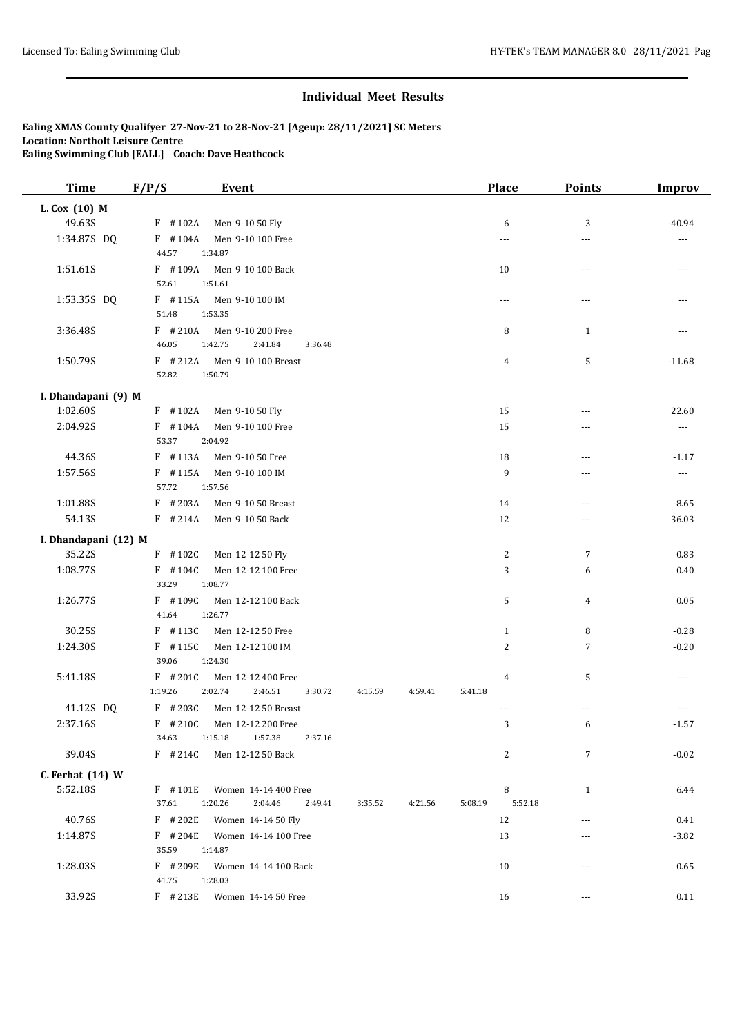| <b>Time</b>          | F/P/S                 | <b>Event</b>                               |                    |         | <b>Place</b>             |                | <b>Points</b>  | <b>Improv</b>         |
|----------------------|-----------------------|--------------------------------------------|--------------------|---------|--------------------------|----------------|----------------|-----------------------|
| L. Cox (10) M        |                       |                                            |                    |         |                          |                |                |                       |
| 49.63S               | $F$ #102A             | Men 9-10 50 Fly                            |                    |         |                          | 6              | 3              | $-40.94$              |
| 1:34.87S DQ          | $F$ #104A<br>44.57    | Men 9-10 100 Free<br>1:34.87               |                    |         | ---                      |                | ---            | ---                   |
| 1:51.61S             | $F$ #109A<br>52.61    | Men 9-10 100 Back<br>1:51.61               |                    |         | 10                       |                | ---            | ---                   |
| 1:53.35S DQ          | $F$ #115A<br>51.48    | Men 9-10 100 IM<br>1:53.35                 |                    |         | $\overline{\phantom{a}}$ |                | ---            |                       |
| 3:36.48S             | $F$ #210A<br>46.05    | Men 9-10 200 Free<br>1:42.75<br>2:41.84    | 3:36.48            |         |                          | 8              | $\mathbf{1}$   |                       |
| 1:50.79S             | $F$ # 212A<br>52.82   | Men 9-10 100 Breast<br>1:50.79             |                    |         |                          | 4              | 5              | $-11.68$              |
| I. Dhandapani (9) M  |                       |                                            |                    |         |                          |                |                |                       |
| 1:02.60S             | $F$ #102A             | Men 9-10 50 Fly                            |                    |         | 15                       |                | ---            | 22.60                 |
| 2:04.92S             | $F$ #104A<br>53.37    | Men 9-10 100 Free<br>2:04.92               |                    |         | 15                       |                | ---            | $\scriptstyle \cdots$ |
| 44.36S               | $F$ #113A             | Men 9-10 50 Free                           |                    |         | 18                       |                | ---            | $-1.17$               |
| 1:57.56S             | $F$ #115A<br>57.72    | Men 9-10 100 IM<br>1:57.56                 |                    |         | 9                        |                | $\overline{a}$ | $\sim$ $\sim$ $\sim$  |
| 1:01.88S             | $F$ # 203A            | Men 9-10 50 Breast                         |                    |         | 14                       |                | ---            | $-8.65$               |
| 54.13S               | $F$ # 214A            | Men 9-10 50 Back                           |                    |         | 12                       |                | $---$          | 36.03                 |
| I. Dhandapani (12) M |                       |                                            |                    |         |                          |                |                |                       |
| 35.22S               | $F$ #102C             | Men 12-12 50 Fly                           |                    |         |                          | 2              | $\overline{7}$ | $-0.83$               |
| 1:08.77S             | $F$ #104C<br>33.29    | Men 12-12 100 Free<br>1:08.77              |                    |         |                          | 3              | 6              | 0.40                  |
| 1:26.77S             | $F$ #109C<br>41.64    | Men 12-12 100 Back<br>1:26.77              |                    |         |                          | 5              | 4              | 0.05                  |
| 30.25S               | $F$ #113C             | Men 12-12 50 Free                          |                    |         |                          | $\mathbf{1}$   | 8              | $-0.28$               |
| 1:24.30S             | $F$ #115C<br>39.06    | Men 12-12 100 IM<br>1:24.30                |                    |         |                          | $\overline{c}$ | 7              | $-0.20$               |
| 5:41.18S             | $F$ # 201C<br>1:19.26 | Men 12-12 400 Free<br>2:02.74<br>2:46.51   | 3:30.72<br>4:15.59 | 4:59.41 | 5:41.18                  | 4              | 5              | ---                   |
| 41.12S DQ            | $F$ # 203C            | Men 12-12 50 Breast                        |                    |         | $- - -$                  |                | $\overline{a}$ |                       |
| 2:37.16S             | $F$ # 210C<br>34.63   | Men 12-12 200 Free<br>1:15.18<br>1:57.38   | 2:37.16            |         |                          | 3              | 6              | $-1.57$               |
| 39.04S               | $F$ # 214C            | Men 12-12 50 Back                          |                    |         |                          | 2              | $\overline{7}$ | $-0.02$               |
| C. Ferhat (14) W     |                       |                                            |                    |         |                          |                |                |                       |
| 5:52.18S             | $F$ #101E<br>37.61    | Women 14-14 400 Free<br>1:20.26<br>2:04.46 | 2:49.41<br>3:35.52 | 4:21.56 | 5:08.19                  | 8<br>5:52.18   | $\mathbf{1}$   | 6.44                  |
| 40.76S               | $F$ # 202E            | Women 14-14 50 Fly                         |                    |         | 12                       |                | $\overline{a}$ | 0.41                  |
| 1:14.87S             | $F$ # 204E<br>35.59   | Women 14-14 100 Free<br>1:14.87            |                    |         | 13                       |                | ---            | $-3.82$               |
| 1:28.03S             | F #209E<br>41.75      | Women 14-14 100 Back<br>1:28.03            |                    |         | 10                       |                | $---$          | 0.65                  |
| 33.92S               | $F$ # 213E            | Women 14-14 50 Free                        |                    |         | 16                       |                | ---            | 0.11                  |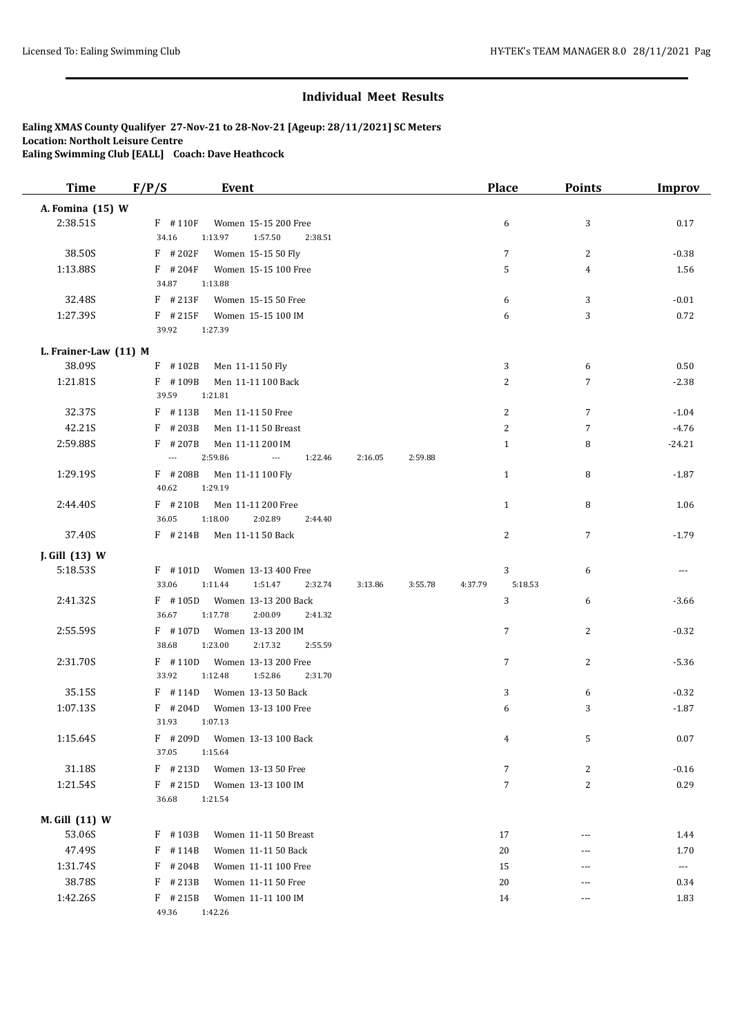| <b>Time</b>           | F/P/S                    | Event                                      |         |         |         |         | <b>Place</b>   | <b>Points</b>  | <b>Improv</b>         |
|-----------------------|--------------------------|--------------------------------------------|---------|---------|---------|---------|----------------|----------------|-----------------------|
| A. Fomina (15) W      |                          |                                            |         |         |         |         |                |                |                       |
| 2:38.51S              | $F$ #110F                | Women 15-15 200 Free                       |         |         |         |         | 6              | 3              | 0.17                  |
|                       | 34.16                    | 1:57.50<br>1:13.97                         | 2:38.51 |         |         |         |                |                |                       |
| 38.50S                | $F$ # 202F               | Women 15-15 50 Fly                         |         |         |         |         | $\overline{7}$ | $\overline{c}$ | $-0.38$               |
| 1:13.88S              | $F$ #204F                | Women 15-15 100 Free                       |         |         |         |         | 5              | $\overline{4}$ | 1.56                  |
|                       | 34.87                    | 1:13.88                                    |         |         |         |         |                |                |                       |
| 32.48S                | $F$ #213F                | Women 15-15 50 Free                        |         |         |         |         | 6              | 3              | $-0.01$               |
| 1:27.39S              | $F$ # 215F               | Women 15-15 100 IM                         |         |         |         |         | 6              | 3              | 0.72                  |
|                       | 39.92                    | 1:27.39                                    |         |         |         |         |                |                |                       |
| L. Frainer-Law (11) M |                          |                                            |         |         |         |         |                |                |                       |
| 38.09S                | $F$ #102B                | Men 11-11 50 Fly                           |         |         |         |         | 3              | 6              | 0.50                  |
| 1:21.81S              | $F$ #109B<br>39.59       | Men 11-11 100 Back<br>1:21.81              |         |         |         |         | 2              | 7              | $-2.38$               |
| 32.37S                | F #113B                  | Men 11-11 50 Free                          |         |         |         |         | 2              | 7              | $-1.04$               |
| 42.21S                | $F$ # 203B               | Men 11-11 50 Breast                        |         |         |         |         | 2              | 7              | $-4.76$               |
| 2:59.88S              | #207B<br>F               | Men 11-11 200 IM                           |         |         |         |         | $\mathbf{1}$   | 8              | $-24.21$              |
|                       | $\overline{\phantom{a}}$ | 2:59.86<br>$\overline{a}$                  | 1:22.46 | 2:16.05 | 2:59.88 |         |                |                |                       |
| 1:29.19S              | $F$ # 208B               | Men 11-11 100 Fly                          |         |         |         |         | $\mathbf{1}$   | 8              | $-1.87$               |
|                       | 40.62                    | 1:29.19                                    |         |         |         |         |                |                |                       |
| 2:44.40S              | $F$ # 210B               | Men 11-11 200 Free                         |         |         |         |         | $\mathbf{1}$   | 8              | 1.06                  |
|                       | 36.05                    | 1:18.00<br>2:02.89                         | 2:44.40 |         |         |         |                |                |                       |
| 37.40S                | $F$ # 214B               | Men 11-11 50 Back                          |         |         |         |         | 2              | 7              | $-1.79$               |
| J. Gill (13) W        |                          |                                            |         |         |         |         |                |                |                       |
| 5:18.53S              | $F$ #101D                | Women 13-13 400 Free                       |         |         |         |         | 3              | 6              | ---                   |
|                       | 33.06                    | 1:11.44<br>1:51.47                         | 2:32.74 | 3:13.86 | 3:55.78 | 4:37.79 | 5:18.53        |                |                       |
| 2:41.32S              | $F$ #105D<br>36.67       | Women 13-13 200 Back<br>1:17.78<br>2:00.09 | 2:41.32 |         |         |         | 3              | 6              | $-3.66$               |
| 2:55.59S              | $F$ #107D                | Women 13-13 200 IM                         |         |         |         |         | 7              | 2              | $-0.32$               |
|                       | 38.68                    | 1:23.00<br>2:17.32                         | 2:55.59 |         |         |         |                |                |                       |
| 2:31.70S              | $F$ #110D                | Women 13-13 200 Free                       |         |         |         |         | 7              | 2              | $-5.36$               |
|                       | 33.92                    | 1:12.48<br>1:52.86                         | 2:31.70 |         |         |         |                |                |                       |
| 35.15S                | $F$ #114D                | Women 13-13 50 Back                        |         |         |         |         | 3              | 6              | $-0.32$               |
| 1:07.13S              | $F$ # 204D               | Women 13-13 100 Free                       |         |         |         |         | 6              | 3              | $-1.87$               |
|                       | 31.93                    | 1:07.13                                    |         |         |         |         |                |                |                       |
| 1:15.64S              | $F$ # 209D               | Women 13-13 100 Back                       |         |         |         |         | 4              | 5              | 0.07                  |
|                       | 37.05                    | 1:15.64                                    |         |         |         |         |                |                |                       |
| 31.18S                | $F$ # 213D               | Women 13-13 50 Free                        |         |         |         |         | 7              | 2              | $-0.16$               |
| 1:21.54S              | $F$ # 215D               | Women 13-13 100 IM                         |         |         |         |         | $\sqrt{ }$     | $\overline{c}$ | 0.29                  |
|                       | 36.68                    | 1:21.54                                    |         |         |         |         |                |                |                       |
| M. Gill (11) W        |                          |                                            |         |         |         |         |                |                |                       |
| 53.06S                | $F$ #103B                | Women 11-11 50 Breast                      |         |         |         |         | 17             | ---            | 1.44                  |
| 47.49S                | F<br>#114B               | Women 11-11 50 Back                        |         |         |         |         | 20             | ---            | 1.70                  |
| 1:31.74S              | $F$ # 204B               | Women 11-11 100 Free                       |         |         |         |         | 15             | ---            | $\scriptstyle \cdots$ |
| 38.78S                | #213B<br>F               | Women 11-11 50 Free                        |         |         |         |         | 20             | ---            | 0.34                  |
| 1:42.26S              | $F$ # 215B               | Women 11-11 100 IM                         |         |         |         |         | 14             | ---            | 1.83                  |
|                       | 49.36                    | 1:42.26                                    |         |         |         |         |                |                |                       |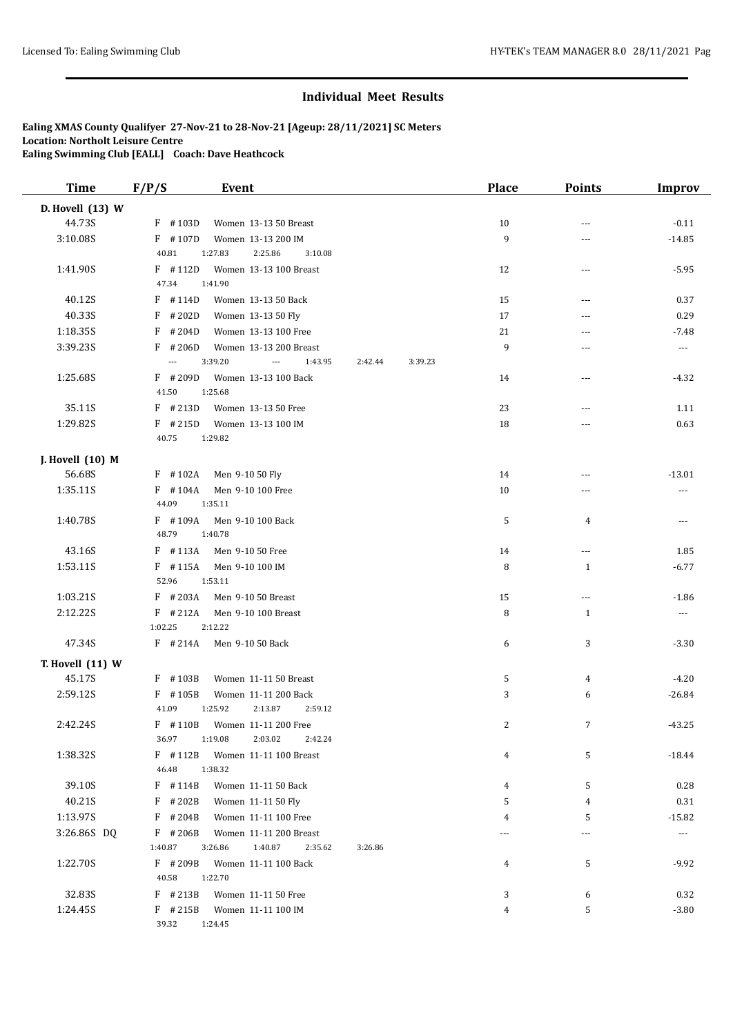| <b>Time</b>      | F/P/S<br><b>Event</b>                                                                 | <b>Place</b> | <b>Points</b>            | <b>Improv</b>            |
|------------------|---------------------------------------------------------------------------------------|--------------|--------------------------|--------------------------|
| D. Hovell (13) W |                                                                                       |              |                          |                          |
| 44.73S           | $F$ #103D<br>Women 13-13 50 Breast                                                    | 10           | $\sim$ $\sim$            | $-0.11$                  |
| 3:10.08S         | $F$ #107D<br>Women 13-13 200 IM                                                       | 9            | ---                      | $-14.85$                 |
|                  | 40.81<br>1:27.83<br>2:25.86<br>3:10.08                                                |              |                          |                          |
| 1:41.90S         | $F$ #112D<br>Women 13-13 100 Breast                                                   | 12           | $---$                    | $-5.95$                  |
|                  | 47.34<br>1:41.90                                                                      |              |                          |                          |
| 40.12S           | $F$ #114D<br>Women 13-13 50 Back                                                      | 15           | ---                      | 0.37                     |
| 40.33S           | $F$ # 202D<br>Women 13-13 50 Fly                                                      | 17           | $---$                    | 0.29                     |
| 1:18.35S         | $F$ # 204D<br>Women 13-13 100 Free                                                    | 21           | ---                      | $-7.48$                  |
| 3:39.23S         | $F$ # 206D<br>Women 13-13 200 Breast                                                  | 9            | ---                      | $\overline{\phantom{a}}$ |
|                  | 3:39.20<br>1:43.95<br>2:42.44<br>$\overline{\phantom{a}}$<br>$\overline{\phantom{a}}$ | 3:39.23      |                          |                          |
| 1:25.68S         | $F$ # 209D<br>Women 13-13 100 Back                                                    | 14           | ---                      | $-4.32$                  |
|                  | 41.50<br>1:25.68                                                                      |              |                          |                          |
| 35.11S           | $F$ # 213D<br>Women 13-13 50 Free                                                     | 23           | ---                      | 1.11                     |
| 1:29.82S         | $F$ # 215D<br>Women 13-13 100 IM                                                      | 18           | ---                      | 0.63                     |
|                  | 40.75<br>1:29.82                                                                      |              |                          |                          |
| J. Hovell (10) M |                                                                                       |              |                          |                          |
| 56.68S           | $F$ #102A<br>Men 9-10 50 Fly                                                          | 14           | ---                      | $-13.01$                 |
| 1:35.11S         | $F$ #104A<br>Men 9-10 100 Free                                                        | 10           | ---                      | ---                      |
|                  | 44.09<br>1:35.11                                                                      |              |                          |                          |
| 1:40.78S         | $F$ #109A<br>Men 9-10 100 Back                                                        | 5            | $\overline{4}$           | ---                      |
|                  | 48.79<br>1:40.78                                                                      |              |                          |                          |
| 43.16S           | $F$ #113A<br>Men 9-10 50 Free                                                         | 14           | ---                      | 1.85                     |
| 1:53.11S         | $F$ #115A<br>Men 9-10 100 IM                                                          | 8            | 1                        | $-6.77$                  |
|                  | 52.96<br>1:53.11                                                                      |              |                          |                          |
| 1:03.21S         | $F$ # 203A<br>Men 9-10 50 Breast                                                      | 15           | $\overline{\phantom{a}}$ | $-1.86$                  |
| 2:12.22S         | $F$ #212A<br>Men 9-10 100 Breast                                                      | 8            | 1                        | $---$                    |
|                  | 1:02.25<br>2:12.22                                                                    |              |                          |                          |
| 47.34S           | $F$ # 214A<br>Men 9-10 50 Back                                                        | 6            | 3                        | $-3.30$                  |
| T. Hovell (11) W |                                                                                       |              |                          |                          |
| 45.17S           | $F$ #103B<br>Women 11-11 50 Breast                                                    | 5            | 4                        | $-4.20$                  |
| 2:59.12S         | F #105B<br>Women 11-11 200 Back                                                       | 3            | 6                        | $-26.84$                 |
|                  | 2:13.87<br>41.09<br>1:25.92<br>2:59.12                                                |              |                          |                          |
| 2:42.24S         | $F$ #110B<br>Women 11-11 200 Free                                                     | 2            | $\overline{7}$           | $-43.25$                 |
|                  | 36.97<br>1:19.08<br>2:03.02<br>2:42.24                                                |              |                          |                          |
| 1:38.32S         | F #112B<br>Women 11-11 100 Breast<br>46.48<br>1:38.32                                 | 4            | 5                        | $-18.44$                 |
| 39.10S           | F #114B                                                                               |              |                          | 0.28                     |
| 40.21S           | Women 11-11 50 Back<br>$F$ # 202B                                                     | 4<br>5       | 5<br>4                   | 0.31                     |
| 1:13.97S         | Women 11-11 50 Fly<br>$F$ # 204B<br>Women 11-11 100 Free                              | 4            | 5                        | $-15.82$                 |
| 3:26.86S DQ      | $F$ #206B<br>Women 11-11 200 Breast                                                   |              | ---                      | $---$                    |
|                  | 1:40.87<br>3:26.86<br>1:40.87<br>2:35.62<br>3:26.86                                   |              |                          |                          |
| 1:22.70S         | $F$ # 209B<br>Women 11-11 100 Back                                                    | 4            | 5                        | $-9.92$                  |
|                  | 1:22.70<br>40.58                                                                      |              |                          |                          |
| 32.83S           | $F$ # 213B<br>Women 11-11 50 Free                                                     | 3            | 6                        | 0.32                     |
| 1:24.45S         | $F$ # 215B<br>Women 11-11 100 IM                                                      | 4            | 5                        | $-3.80$                  |
|                  | 39.32<br>1:24.45                                                                      |              |                          |                          |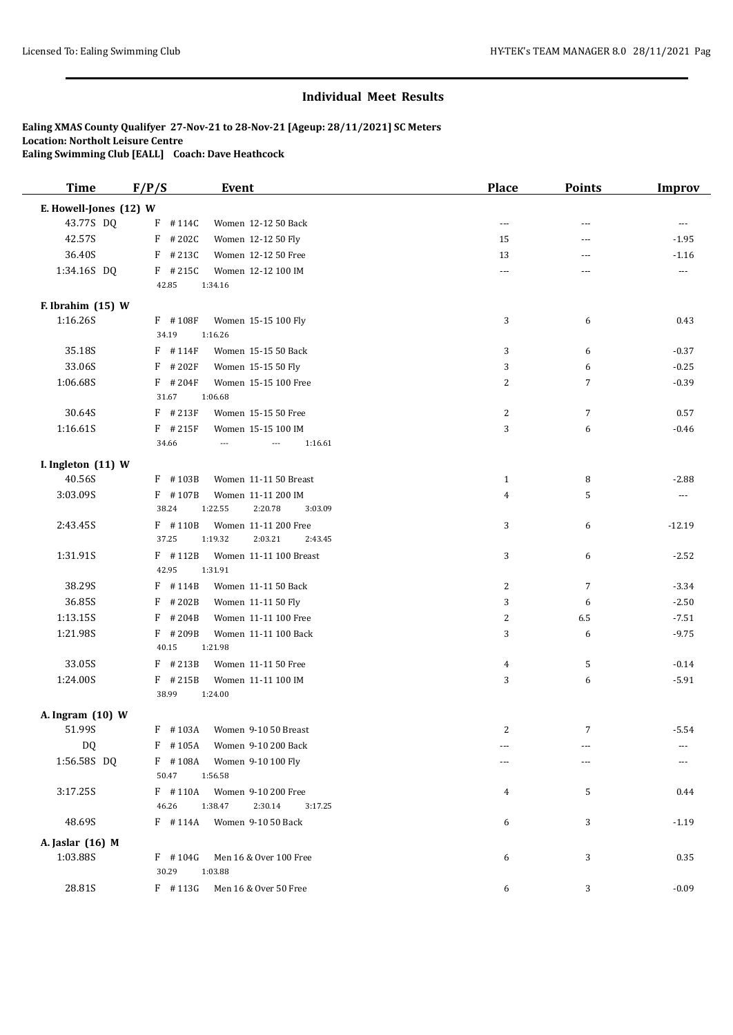| <b>Time</b>            | F/P/S              | Event                                      | <b>Place</b>   | Points         | <b>Improv</b> |
|------------------------|--------------------|--------------------------------------------|----------------|----------------|---------------|
| E. Howell-Jones (12) W |                    |                                            |                |                |               |
| 43.77S DQ              | $F$ #114C          | Women 12-12 50 Back                        | $\overline{a}$ | ---            | $---$         |
| 42.57S                 | $F$ # 202C         | Women 12-12 50 Fly                         | 15             | ---            | $-1.95$       |
| 36.40S                 | $F$ # 213C         | Women 12-12 50 Free                        | 13             | ---            | $-1.16$       |
| 1:34.16S DQ            | $F$ # 215C         | Women 12-12 100 IM                         | $\sim$ $\sim$  | ---            | $---$         |
|                        | 42.85              | 1:34.16                                    |                |                |               |
| F. Ibrahim (15) W      |                    |                                            |                |                |               |
| 1:16.26S               | $F$ #108F          | Women 15-15 100 Fly                        | 3              | 6              | 0.43          |
|                        | 34.19              | 1:16.26                                    |                |                |               |
| 35.18S                 | $F$ #114F          | Women 15-15 50 Back                        | 3              | 6              | $-0.37$       |
| 33.06S                 | $F$ # 202F         | Women 15-15 50 Fly                         | 3              | 6              | $-0.25$       |
| 1:06.68S               | $F$ #204F          | Women 15-15 100 Free                       | 2              | 7              | $-0.39$       |
|                        | 31.67              | 1:06.68                                    |                |                |               |
| 30.64S                 | $F$ #213F          | Women 15-15 50 Free                        | 2              | $\overline{7}$ | 0.57          |
| 1:16.61S               | $F$ # 215F         | Women 15-15 100 IM                         | 3              | 6              | $-0.46$       |
|                        | 34.66              | 1:16.61<br>---<br>$\overline{\phantom{a}}$ |                |                |               |
| I. Ingleton (11) W     |                    |                                            |                |                |               |
| 40.56S                 | F #103B            | Women 11-11 50 Breast                      | $\mathbf{1}$   | 8              | $-2.88$       |
| 3:03.09S               | F #107B            | Women 11-11 200 IM                         | 4              | 5              | ---           |
|                        | 38.24              | 1:22.55<br>2:20.78<br>3:03.09              |                |                |               |
| 2:43.45S               | $F$ #110B          | Women 11-11 200 Free                       | 3              | 6              | $-12.19$      |
|                        | 37.25              | 1:19.32<br>2:03.21<br>2:43.45              |                |                |               |
| 1:31.91S               | $F$ #112B<br>42.95 | Women 11-11 100 Breast<br>1:31.91          | 3              | 6              | $-2.52$       |
| 38.29S                 | $F$ # 114B         | Women 11-11 50 Back                        | 2              | $\overline{7}$ | $-3.34$       |
| 36.85S                 | F<br>#202B         | Women 11-11 50 Fly                         | 3              | 6              | $-2.50$       |
| 1:13.15S               | $F$ # 204B         | Women 11-11 100 Free                       | $\overline{c}$ | 6.5            | $-7.51$       |
| 1:21.98S               | $F$ #209B          | Women 11-11 100 Back                       | 3              | 6              | $-9.75$       |
|                        | 40.15              | 1:21.98                                    |                |                |               |
| 33.05S                 | $F$ # 213B         | Women 11-11 50 Free                        | 4              | 5              | $-0.14$       |
| 1:24.00S               | $F$ # 215B         | Women 11-11 100 IM                         | 3              | 6              | $-5.91$       |
|                        | 38.99              | 1:24.00                                    |                |                |               |
| A. Ingram (10) W       |                    |                                            |                |                |               |
| 51.99S                 | $F$ #103A          | Women 9-10 50 Breast                       | 2              | 7              | $-5.54$       |
| <b>DQ</b>              | $F$ #105A          | Women 9-10 200 Back                        |                |                |               |
| 1:56.58S DQ            | F #108A            | Women 9-10 100 Fly                         |                | ---            |               |
|                        | 50.47              | 1:56.58                                    |                |                |               |
| 3:17.25S               | $F$ #110A          | Women 9-10 200 Free                        | 4              | 5              | 0.44          |
|                        | 46.26              | 1:38.47<br>2:30.14<br>3:17.25              |                |                |               |
| 48.69S                 | $F$ #114A          | Women 9-10 50 Back                         | 6              | 3              | $-1.19$       |
| A. Jaslar (16) M       |                    |                                            |                |                |               |
| 1:03.88S               | $F$ #104G          | Men 16 & Over 100 Free                     | 6              | 3              | 0.35          |
|                        | 30.29              | 1:03.88                                    |                |                |               |
| 28.81S                 | $F$ #113G          | Men 16 & Over 50 Free                      | 6              | 3              | $-0.09$       |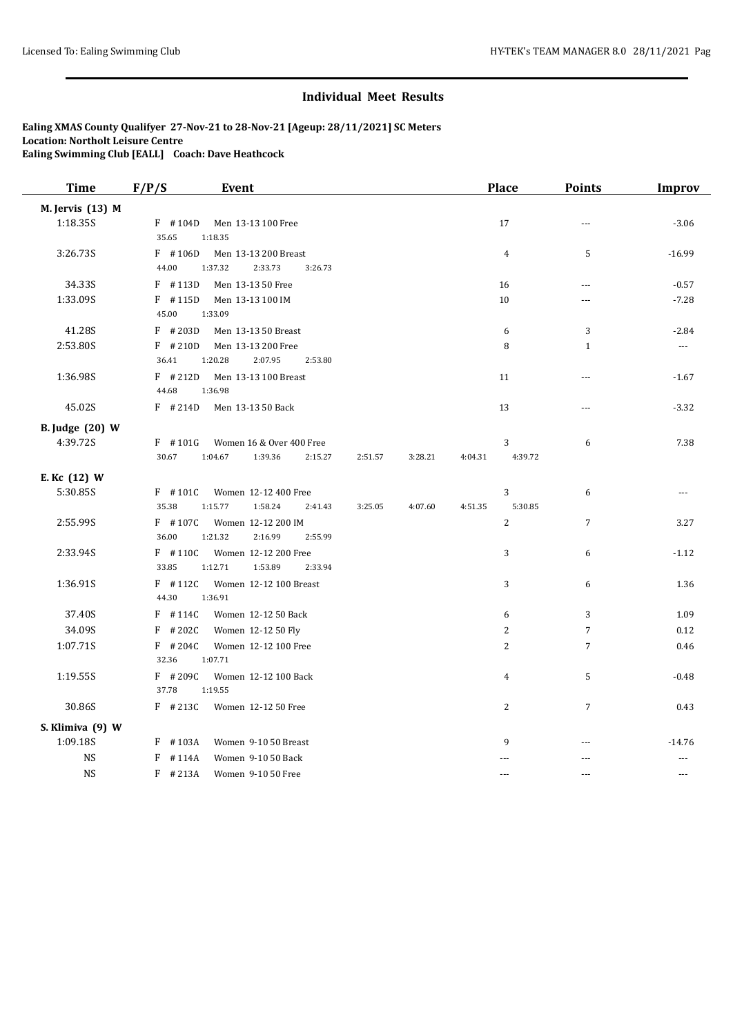| <b>Time</b>            | F/P/S<br><b>Event</b>                                                                  | <b>Place</b>                       | <b>Points</b>        | <b>Improv</b>        |
|------------------------|----------------------------------------------------------------------------------------|------------------------------------|----------------------|----------------------|
| M. Jervis (13) M       |                                                                                        |                                    |                      |                      |
| 1:18.35S               | $F$ #104D<br>Men 13-13 100 Free<br>35.65<br>1:18.35                                    | 17                                 | $---$                | $-3.06$              |
| 3:26.73S               | $F$ #106D<br>Men 13-13 200 Breast<br>44.00<br>1:37.32<br>2:33.73<br>3:26.73            | $\overline{4}$                     | 5                    | $-16.99$             |
| 34.33S                 | $F$ #113D<br>Men 13-13 50 Free                                                         | 16                                 | $\sim$ $\sim$ $\sim$ | $-0.57$              |
| 1:33.09S               | $F$ #115D<br>Men 13-13 100 IM<br>45.00<br>1:33.09                                      | 10                                 |                      | $-7.28$              |
| 41.28S                 | $F$ # 203D<br>Men 13-13 50 Breast                                                      | 6                                  | 3                    | $-2.84$              |
| 2:53.80S               | $F$ #210D<br>Men 13-13 200 Free<br>36.41<br>1:20.28<br>2:07.95<br>2:53.80              | 8                                  | $\mathbf{1}$         | $\sim$ $\sim$        |
| 1:36.98S               | $F$ # 212D<br>Men 13-13 100 Breast<br>44.68<br>1:36.98                                 | 11                                 | $\overline{a}$       | $-1.67$              |
| 45.02S                 | $F$ # 214D<br>Men 13-13 50 Back                                                        | 13                                 | ---                  | $-3.32$              |
| <b>B.</b> Judge (20) W |                                                                                        |                                    |                      |                      |
| 4:39.72S               | Women 16 & Over 400 Free<br>$F$ #101G                                                  | 3                                  | 6                    | 7.38                 |
|                        | 30.67<br>1:04.67<br>1:39.36<br>2:15.27<br>2:51.57                                      | 3:28.21<br>4:39.72<br>4:04.31      |                      |                      |
| E. Kc (12) W           |                                                                                        |                                    |                      |                      |
| 5:30.85S               | $F$ #101C<br>Women 12-12 400 Free<br>35.38<br>1:15.77<br>1:58.24<br>3:25.05<br>2:41.43 | 3<br>5:30.85<br>4:07.60<br>4:51.35 | 6                    | $\sim$ $\sim$ $\sim$ |
| 2:55.99S               | $F$ #107C<br>Women 12-12 200 IM<br>36.00<br>1:21.32<br>2:16.99<br>2:55.99              | 2                                  | $\overline{7}$       | 3.27                 |
| 2:33.94S               | $F$ #110C<br>Women 12-12 200 Free<br>33.85<br>1:12.71<br>1:53.89<br>2:33.94            | 3                                  | 6                    | $-1.12$              |
| 1:36.91S               | $F$ #112C<br>Women 12-12 100 Breast<br>44.30<br>1:36.91                                | 3                                  | 6                    | 1.36                 |
| 37.40S                 | $F$ #114C<br>Women 12-12 50 Back                                                       | 6                                  | 3                    | 1.09                 |
| 34.09S                 | $F$ # 202C<br>Women 12-12 50 Fly                                                       | $\overline{2}$                     | $\overline{7}$       | 0.12                 |
| 1:07.71S               | $F$ # 204C<br>Women 12-12 100 Free<br>32.36<br>1:07.71                                 | $\overline{2}$                     | $\overline{7}$       | 0.46                 |
| 1:19.55S               | $F$ # 209C<br>Women 12-12 100 Back<br>37.78<br>1:19.55                                 | 4                                  | 5                    | $-0.48$              |
| 30.86S                 | $F$ # 213C<br>Women 12-12 50 Free                                                      | 2                                  | $\overline{7}$       | 0.43                 |
| S. Klimiva (9) W       |                                                                                        |                                    |                      |                      |
| 1:09.18S               | $F$ #103A<br>Women 9-10 50 Breast                                                      | 9                                  | ---                  | $-14.76$             |
| <b>NS</b>              | $F$ #114A<br>Women 9-10 50 Back                                                        |                                    | ---                  | $-$                  |
| <b>NS</b>              | $F$ #213A<br>Women 9-10 50 Free                                                        | $\sim$ $\sim$                      | $\sim$               | $---$                |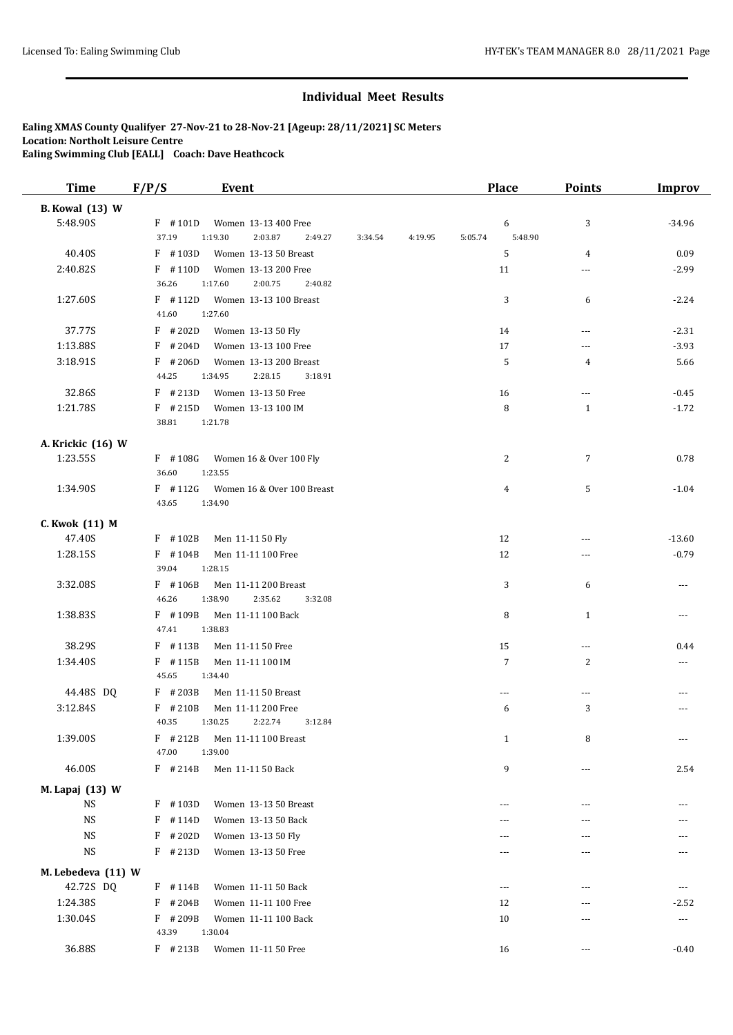| <b>Time</b>            | F/P/S               | <b>Event</b>                          |         |         | <b>Place</b>       | <b>Points</b>  | <b>Improv</b>        |
|------------------------|---------------------|---------------------------------------|---------|---------|--------------------|----------------|----------------------|
| <b>B.</b> Kowal (13) W |                     |                                       |         |         |                    |                |                      |
| 5:48.90S               | $F$ #101D           | Women 13-13 400 Free                  |         |         | 6                  | 3              | $-34.96$             |
|                        | 37.19               | 1:19.30<br>2:03.87<br>2:49.27         | 3:34.54 | 4:19.95 | 5:48.90<br>5:05.74 |                |                      |
| 40.40S                 | $F$ #103D           | Women 13-13 50 Breast                 |         |         | 5                  | $\overline{4}$ | 0.09                 |
| 2:40.82S               | $F$ #110D           | Women 13-13 200 Free                  |         |         | 11                 | ---            | $-2.99$              |
|                        | 36.26               | 1:17.60<br>2:00.75<br>2:40.82         |         |         |                    |                |                      |
| 1:27.60S               | $F$ #112D           | Women 13-13 100 Breast                |         |         | 3                  | 6              | $-2.24$              |
|                        | 41.60               | 1:27.60                               |         |         |                    |                |                      |
| 37.77S                 | $F$ # 202D          | Women 13-13 50 Fly                    |         |         | 14                 | ---            | $-2.31$              |
| 1:13.88S               | $F$ # 204D          | Women 13-13 100 Free                  |         |         | 17                 | ---            | $-3.93$              |
| 3:18.91S               | $F$ # 206D          | Women 13-13 200 Breast                |         |         | 5                  | 4              | 5.66                 |
|                        | 44.25               | 2:28.15<br>1:34.95<br>3:18.91         |         |         |                    |                |                      |
| 32.86S                 | $F$ # 213D          | Women 13-13 50 Free                   |         |         | 16                 | ---            | $-0.45$              |
| 1:21.78S               | $F$ # 215D<br>38.81 | Women 13-13 100 IM<br>1:21.78         |         |         | 8                  | $\mathbf{1}$   | $-1.72$              |
|                        |                     |                                       |         |         |                    |                |                      |
| A. Krickic (16) W      |                     |                                       |         |         |                    |                |                      |
| 1:23.55S               | $F$ #108G           | Women 16 & Over 100 Fly               |         |         | 2                  | $\overline{7}$ | 0.78                 |
|                        | 36.60               | 1:23.55                               |         |         |                    |                |                      |
| 1:34.90S               | $F$ #112G<br>43.65  | Women 16 & Over 100 Breast<br>1:34.90 |         |         | 4                  | 5              | $-1.04$              |
|                        |                     |                                       |         |         |                    |                |                      |
| C. Kwok (11) M         |                     |                                       |         |         |                    |                |                      |
| 47.40S                 | F #102B             | Men 11-11 50 Fly                      |         |         | 12                 | ---            | $-13.60$             |
| 1:28.15S               | $F$ #104B<br>39.04  | Men 11-11 100 Free<br>1:28.15         |         |         | 12                 | ---            | $-0.79$              |
| 3:32.08S               | $F$ #106B           | Men 11-11 200 Breast                  |         |         | 3                  | 6              | ---                  |
|                        | 46.26               | 1:38.90<br>2:35.62<br>3:32.08         |         |         |                    |                |                      |
| 1:38.83S               | F #109B             | Men 11-11 100 Back                    |         |         | 8                  | $\mathbf{1}$   | $  -$                |
|                        | 47.41               | 1:38.83                               |         |         |                    |                |                      |
| 38.29S                 | $F$ #113B           | Men 11-11 50 Free                     |         |         | 15                 | $\cdots$       | 0.44                 |
| 1:34.40S               | $F$ #115B           | Men 11-11 100 IM                      |         |         | $\overline{7}$     | $\overline{c}$ | ---                  |
|                        | 45.65               | 1:34.40                               |         |         |                    |                |                      |
| 44.48S DQ              | F #203B             | Men 11-11 50 Breast                   |         |         | ---                | $\cdots$       |                      |
| 3:12.84S               | $F$ #210B           | Men 11-11 200 Free                    |         |         | 6                  | 3              |                      |
|                        | 40.35               | 2:22.74<br>1:30.25<br>3:12.84         |         |         |                    |                |                      |
| 1:39.00S               | $F$ # 212B          | Men 11-11 100 Breast                  |         |         | $\mathbf{1}$       | 8              | $\cdots$             |
|                        | 47.00               | 1:39.00                               |         |         |                    |                |                      |
| 46.00S                 | $F$ # 214B          | Men 11-11 50 Back                     |         |         | 9                  | ---            | 2.54                 |
| M. Lapaj (13) W        |                     |                                       |         |         |                    |                |                      |
| <b>NS</b>              | $F$ #103D           | Women 13-13 50 Breast                 |         |         |                    | ---            |                      |
| <b>NS</b>              | F<br>#114D          | Women 13-13 50 Back                   |         |         | ---                | ---            |                      |
| <b>NS</b>              | #202D<br>F          | Women 13-13 50 Fly                    |         |         |                    | ---            |                      |
| <b>NS</b>              | $F$ # 213D          | Women 13-13 50 Free                   |         |         | $---$              | ---            |                      |
| M. Lebedeva (11) W     |                     |                                       |         |         |                    |                |                      |
| 42.72S DQ              | $F$ # 114B          | Women 11-11 50 Back                   |         |         | $\overline{a}$     | ---            | $\cdots$             |
| 1:24.38S               | $F$ # 204B          | Women 11-11 100 Free                  |         |         | 12                 | ---            | $-2.52$              |
| 1:30.04S               | F #209B             | Women 11-11 100 Back                  |         |         | 10                 | ---            | $\scriptstyle\cdots$ |
|                        | 43.39               | 1:30.04                               |         |         |                    |                |                      |
| 36.88S                 | F #213B             | Women 11-11 50 Free                   |         |         | 16                 | ---            | $-0.40$              |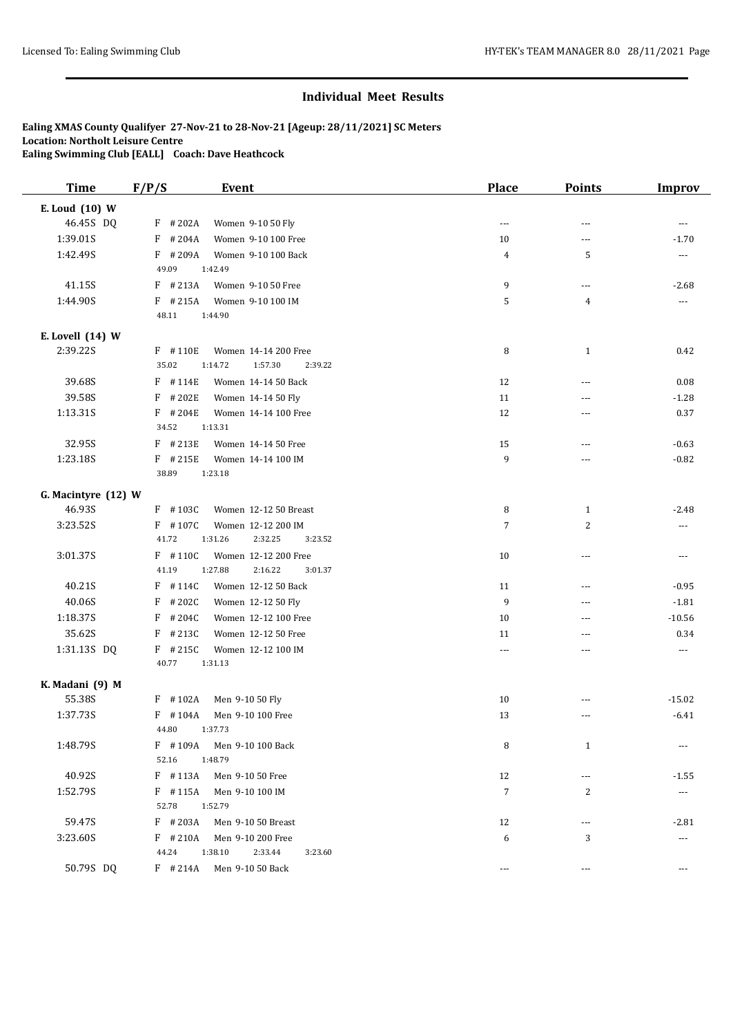| <b>Time</b>         | F/P/S              | <b>Event</b>                  | <b>Place</b> | <b>Points</b>  | <b>Improv</b>            |
|---------------------|--------------------|-------------------------------|--------------|----------------|--------------------------|
| E. Loud (10) W      |                    |                               |              |                |                          |
| 46.45S DQ           | $F$ # 202A         | Women 9-10 50 Fly             | ---          | $\overline{a}$ | $---$                    |
| 1:39.01S            | $F$ #204A          | Women 9-10 100 Free           | 10           | ---            | $-1.70$                  |
| 1:42.49S            | $F$ #209A          | Women 9-10 100 Back           | 4            | 5              | $\cdots$                 |
|                     | 49.09              | 1:42.49                       |              |                |                          |
| 41.15S              | $F$ #213A          | Women 9-10 50 Free            | 9            | ---            | $-2.68$                  |
| 1:44.90S            | $F$ # 215A         | Women 9-10 100 IM             | 5            | $\overline{4}$ | ---                      |
|                     | 48.11              | 1:44.90                       |              |                |                          |
| E. Lovell (14) W    |                    |                               |              |                |                          |
| 2:39.22S            | F #110E            | Women 14-14 200 Free          | 8            | $\mathbf{1}$   | 0.42                     |
|                     | 35.02              | 1:14.72<br>1:57.30<br>2:39.22 |              |                |                          |
| 39.68S              | $F$ #114E          | Women 14-14 50 Back           | 12           | ---            | 0.08                     |
| 39.58S              | $F$ # 202E         | Women 14-14 50 Fly            | 11           | $---$          | $-1.28$                  |
| 1:13.31S            | $F$ # 204E         | Women 14-14 100 Free          | 12           | ---            | 0.37                     |
|                     | 34.52              | 1:13.31                       |              |                |                          |
| 32.95S              | $F$ # 213E         | Women 14-14 50 Free           | 15           | $\overline{a}$ | $-0.63$                  |
| 1:23.18S            | $F$ # 215E         | Women 14-14 100 IM            | 9            | ---            | $-0.82$                  |
|                     | 38.89              | 1:23.18                       |              |                |                          |
| G. Macintyre (12) W |                    |                               |              |                |                          |
| 46.93S              | $F$ #103C          | Women 12-12 50 Breast         | 8            | $\mathbf{1}$   | $-2.48$                  |
| 3:23.52S            | $F$ #107C          | Women 12-12 200 IM            | 7            | $\overline{c}$ | $\cdots$                 |
|                     | 41.72              | 1:31.26<br>2:32.25<br>3:23.52 |              |                |                          |
| 3:01.37S            | $F$ #110C          | Women 12-12 200 Free          | 10           | ---            | $\overline{\phantom{a}}$ |
|                     | 41.19              | 2:16.22<br>1:27.88<br>3:01.37 |              |                |                          |
| 40.21S              | $F$ #114C          | Women 12-12 50 Back           | 11           | $\cdots$       | $-0.95$                  |
| 40.06S              | $F$ # 202C         | Women 12-12 50 Fly            | 9            | ---            | $-1.81$                  |
| 1:18.37S            | #204C<br>F         | Women 12-12 100 Free          | 10           | $---$          | $-10.56$                 |
| 35.62S              | $F$ # 213C         | Women 12-12 50 Free           | 11           | $---$          | 0.34                     |
| 1:31.13S DQ         | $F$ # 215C         | Women 12-12 100 IM            | ---          | ---            | $\cdots$                 |
|                     | 40.77              | 1:31.13                       |              |                |                          |
| K. Madani (9) M     |                    |                               |              |                |                          |
| 55.38S              | $F$ #102A          | Men 9-10 50 Fly               | 10           | ---            | $-15.02$                 |
| 1:37.73S            | $F$ #104A          | Men 9-10 100 Free             | 13           | $---$          | $-6.41$                  |
|                     | 44.80              | 1:37.73                       |              |                |                          |
| 1:48.79S            | $F$ #109A          | Men 9-10 100 Back             | 8            | $\mathbf{1}$   | $\cdots$                 |
|                     | 52.16              | 1:48.79                       |              |                |                          |
| 40.92S              | $F$ #113A          | Men 9-10 50 Free              | 12           | ---            | $-1.55$                  |
| 1:52.79S            | $F$ #115A<br>52.78 | Men 9-10 100 IM<br>1:52.79    | 7            | 2              | $\scriptstyle\cdots$     |
| 59.47S              | $F$ # 203A         | Men 9-10 50 Breast            | 12           | ---            | $-2.81$                  |
| 3:23.60S            | $F$ #210A          | Men 9-10 200 Free             | 6            | 3              | $\overline{a}$           |
|                     | 44.24              | 1:38.10<br>2:33.44<br>3:23.60 |              |                |                          |
| 50.79S DQ           | $F$ # 214A         | Men 9-10 50 Back              | ---          | ---            | ---                      |
|                     |                    |                               |              |                |                          |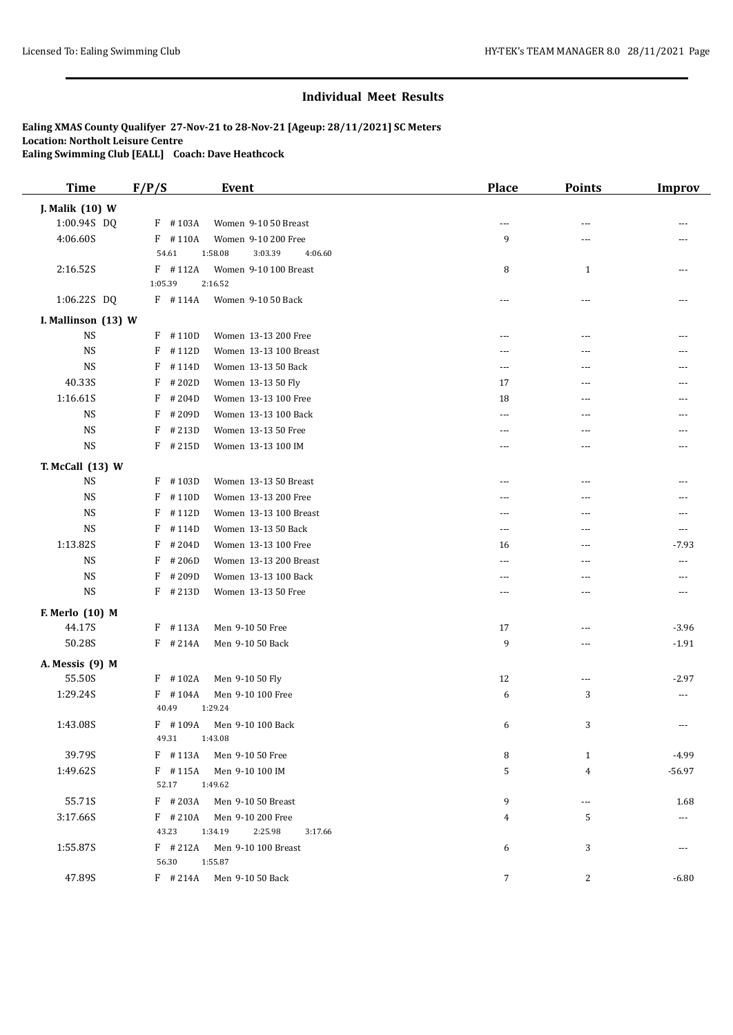| <b>Time</b>         | F/P/S              | <b>Event</b>                  | <b>Place</b>   | <b>Points</b>  | <b>Improv</b> |
|---------------------|--------------------|-------------------------------|----------------|----------------|---------------|
| J. Malik (10) W     |                    |                               |                |                |               |
| 1:00.94S DQ         | $F$ #103A          | Women 9-10 50 Breast          | $---$          | ---            |               |
| 4:06.60S            | $F$ #110A          | Women 9-10 200 Free           | 9              | ---            |               |
|                     | 54.61              | 1:58.08<br>3:03.39<br>4:06.60 |                |                |               |
| 2:16.52S            | $F$ #112A          | Women 9-10 100 Breast         | 8              | $\mathbf{1}$   | ---           |
|                     | 1:05.39            | 2:16.52                       |                |                |               |
| 1:06.22S DQ         | $F$ #114A          | Women 9-10 50 Back            | ---            | ---            |               |
| I. Mallinson (13) W |                    |                               |                |                |               |
| <b>NS</b>           | $F$ #110D          | Women 13-13 200 Free          | $---$          | ---            |               |
| <b>NS</b>           | F<br>#112D         | Women 13-13 100 Breast        | $--$           | ---            |               |
| <b>NS</b>           | F<br>#114D         | Women 13-13 50 Back           | ---            | ---            |               |
| 40.33S              | F<br>#202D         | Women 13-13 50 Fly            | 17             | ---            |               |
| 1:16.61S            | F<br>#204D         | Women 13-13 100 Free          | 18             | ---            | ---           |
| <b>NS</b>           | F<br>#209D         | Women 13-13 100 Back          | ---            | ---            | ---           |
| <b>NS</b>           | F<br>#213D         | Women 13-13 50 Free           | $---$          | ---            | ---           |
| <b>NS</b>           | $F$ # 215D         | Women 13-13 100 IM            | ---            | ---            |               |
| T. McCall (13) W    |                    |                               |                |                |               |
| <b>NS</b>           | $F$ #103D          | Women 13-13 50 Breast         | ---            | ---            |               |
| <b>NS</b>           | F<br>#110D         | Women 13-13 200 Free          | $---$          | $---$          | ---           |
| <b>NS</b>           | F<br>#112D         | Women 13-13 100 Breast        | $\overline{a}$ | ---            |               |
| <b>NS</b>           | F<br>#114D         | Women 13-13 50 Back           | $- - -$        | ---            | ---           |
| 1:13.82S            | F<br>#204D         | Women 13-13 100 Free          | 16             | ---            | $-7.93$       |
| <b>NS</b>           | F<br>#206D         | Women 13-13 200 Breast        | $- - -$        | ---            | ---           |
| <b>NS</b>           | F<br>#209D         | Women 13-13 100 Back          | $---$          | ---            | ---           |
| <b>NS</b>           | $F$ # 213D         | Women 13-13 50 Free           | ---            | ---            | ---           |
|                     |                    |                               |                |                |               |
| F. Merlo (10) M     |                    |                               |                |                |               |
| 44.17S              | $F$ #113A          | Men 9-10 50 Free              | 17             | ---            | $-3.96$       |
| 50.28S              | $F$ # 214A         | Men 9-10 50 Back              | 9              | $---$          | $-1.91$       |
| A. Messis (9) M     |                    |                               |                |                |               |
| 55.50S              | $F$ #102A          | Men 9-10 50 Fly               | 12             | ---            | $-2.97$       |
| 1:29.24S            | $F$ #104A          | Men 9-10 100 Free             | 6              | 3              | ---           |
|                     | 40.49              | 1:29.24                       |                |                |               |
| 1:43.08S            | $F$ #109A<br>49.31 | Men 9-10 100 Back<br>1:43.08  | 6              | 3              | ---           |
| 39.79S              | $F$ #113A          | Men 9-10 50 Free              | 8              | $\mathbf{1}$   | $-4.99$       |
| 1:49.62S            | $F$ #115A          | Men 9-10 100 IM               | 5              | $\overline{4}$ | $-56.97$      |
|                     | 52.17              | 1:49.62                       |                |                |               |
| 55.71S              | $F$ # 203A         | Men 9-10 50 Breast            | 9              | ---            | 1.68          |
| 3:17.66S            | $F$ # 210A         | Men 9-10 200 Free             | 4              | 5              | ---           |
|                     | 43.23              | 1:34.19<br>2:25.98<br>3:17.66 |                |                |               |
| 1:55.87S            | $F$ # 212A         | Men 9-10 100 Breast           | 6              | 3              |               |
|                     | 56.30              | 1:55.87                       |                |                |               |
| 47.89S              | $F$ # 214A         | Men 9-10 50 Back              | 7              | 2              | $-6.80$       |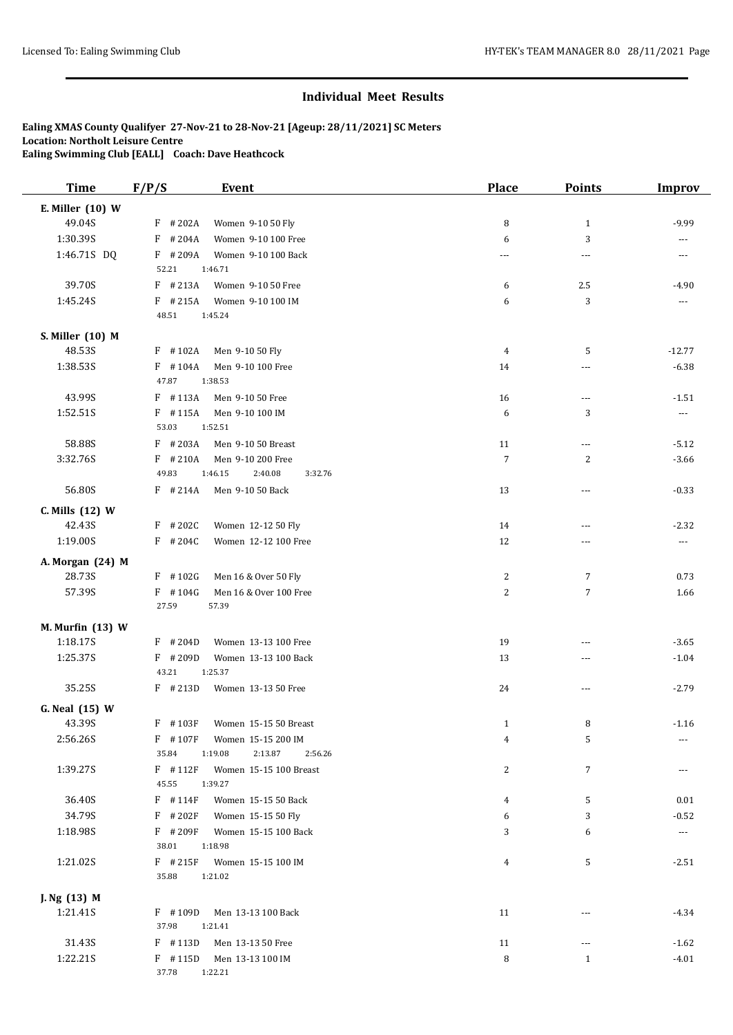| <b>Time</b>                  | F/P/S<br><b>Event</b>                                                   | <b>Place</b>   | Points         | <b>Improv</b>         |
|------------------------------|-------------------------------------------------------------------------|----------------|----------------|-----------------------|
| E. Miller (10) W             |                                                                         |                |                |                       |
| 49.04S                       | $F$ # 202A<br>Women 9-10 50 Fly                                         | 8              | $\mathbf{1}$   | $-9.99$               |
| 1:30.39S                     | $F$ # 204A<br>Women 9-10 100 Free                                       | 6              | 3              | ---                   |
| 1:46.71S DQ                  | $F$ #209A<br>Women 9-10 100 Back                                        | ---            | ---            | $\cdots$              |
|                              | 52.21<br>1:46.71                                                        |                |                |                       |
| 39.70S                       | $F$ # 213A<br>Women 9-10 50 Free                                        | 6              | 2.5            | $-4.90$               |
| 1:45.24S                     | $F$ # 215A<br>Women 9-10 100 IM                                         | 6              | 3              | ---                   |
|                              | 48.51<br>1:45.24                                                        |                |                |                       |
| S. Miller (10) M             |                                                                         |                |                |                       |
| 48.53S                       | $F$ #102A<br>Men 9-10 50 Fly                                            | $\overline{4}$ | 5              | $-12.77$              |
| 1:38.53S                     | $F$ #104A<br>Men 9-10 100 Free                                          | 14             | ---            | $-6.38$               |
|                              | 47.87<br>1:38.53                                                        |                |                |                       |
| 43.99S                       | $F$ #113A<br>Men 9-10 50 Free                                           | 16             | ---            | $-1.51$               |
| 1:52.51S                     | $F$ #115A<br>Men 9-10 100 IM                                            | 6              | 3              | $\scriptstyle \cdots$ |
|                              | 53.03<br>1:52.51                                                        |                |                |                       |
| 58.88S                       | $F$ # 203A<br>Men 9-10 50 Breast                                        | 11             | ---            | $-5.12$               |
| 3:32.76S                     | $F$ # 210A<br>Men 9-10 200 Free                                         | $\overline{7}$ | $\overline{c}$ | $-3.66$               |
|                              | 49.83<br>1:46.15<br>2:40.08<br>3:32.76                                  |                |                |                       |
| 56.80S                       | $F$ # 214A<br>Men 9-10 50 Back                                          | 13             | ---            | $-0.33$               |
| C. Mills (12) W              |                                                                         |                |                |                       |
| 42.43S                       | $F$ # 202C<br>Women 12-12 50 Fly                                        | 14             | ---            | $-2.32$               |
| 1:19.00S                     | $F$ # 204C<br>Women 12-12 100 Free                                      | 12             | ---            | ---                   |
| A. Morgan (24) M             |                                                                         |                |                |                       |
| 28.73S                       | $F$ #102G<br>Men 16 & Over 50 Fly                                       | 2              | $\overline{7}$ | 0.73                  |
| 57.39S                       | $F$ #104G<br>Men 16 & Over 100 Free                                     | $\overline{c}$ | $\sqrt{7}$     | 1.66                  |
|                              | 27.59<br>57.39                                                          |                |                |                       |
|                              |                                                                         |                |                |                       |
| M. Murfin (13) W<br>1:18.17S | Women 13-13 100 Free<br>$F$ # 204D                                      | 19             | ---            | $-3.65$               |
| 1:25.37S                     | $F$ # 209D<br>Women 13-13 100 Back                                      | 13             | ---            | $-1.04$               |
|                              | 43.21<br>1:25.37                                                        |                |                |                       |
| 35.25S                       | $F$ # 213D<br>Women 13-13 50 Free                                       | 24             | ---            | $-2.79$               |
|                              |                                                                         |                |                |                       |
| G. Neal (15) W               |                                                                         |                |                |                       |
| 43.39S                       | F #103F<br>Women 15-15 50 Breast                                        | $\mathbf{1}$   | 8              | $-1.16$               |
| 2:56.26S                     | F #107F<br>Women 15-15 200 IM<br>2:13.87<br>35.84<br>1:19.08<br>2:56.26 | 4              | 5              | ---                   |
| 1:39.27S                     | $F$ #112F<br>Women 15-15 100 Breast                                     | 2              | 7              |                       |
|                              | 45.55<br>1:39.27                                                        |                |                |                       |
| 36.40S                       | F #114F<br>Women 15-15 50 Back                                          | 4              | 5              | 0.01                  |
| 34.79S                       | $F$ # 202F<br>Women 15-15 50 Fly                                        | 6              | 3              | $-0.52$               |
| 1:18.98S                     | $F$ #209F<br>Women 15-15 100 Back                                       | 3              | 6              | $\scriptstyle \cdots$ |
|                              | 38.01<br>1:18.98                                                        |                |                |                       |
| 1:21.02S                     | $F$ # 215F<br>Women 15-15 100 IM                                        | 4              | 5              | $-2.51$               |
|                              | 35.88<br>1:21.02                                                        |                |                |                       |
|                              |                                                                         |                |                |                       |
| J. Ng (13) M<br>1:21.41S     | F #109D<br>Men 13-13 100 Back                                           | 11             | ---            | $-4.34$               |
|                              | 37.98<br>1:21.41                                                        |                |                |                       |
| 31.43S                       | $F$ #113D<br>Men 13-13 50 Free                                          | 11             | ---            | $-1.62$               |
| 1:22.21S                     | $F$ #115D<br>Men 13-13 100 IM                                           | 8              | $\mathbf{1}$   | $-4.01$               |
|                              | 37.78<br>1:22.21                                                        |                |                |                       |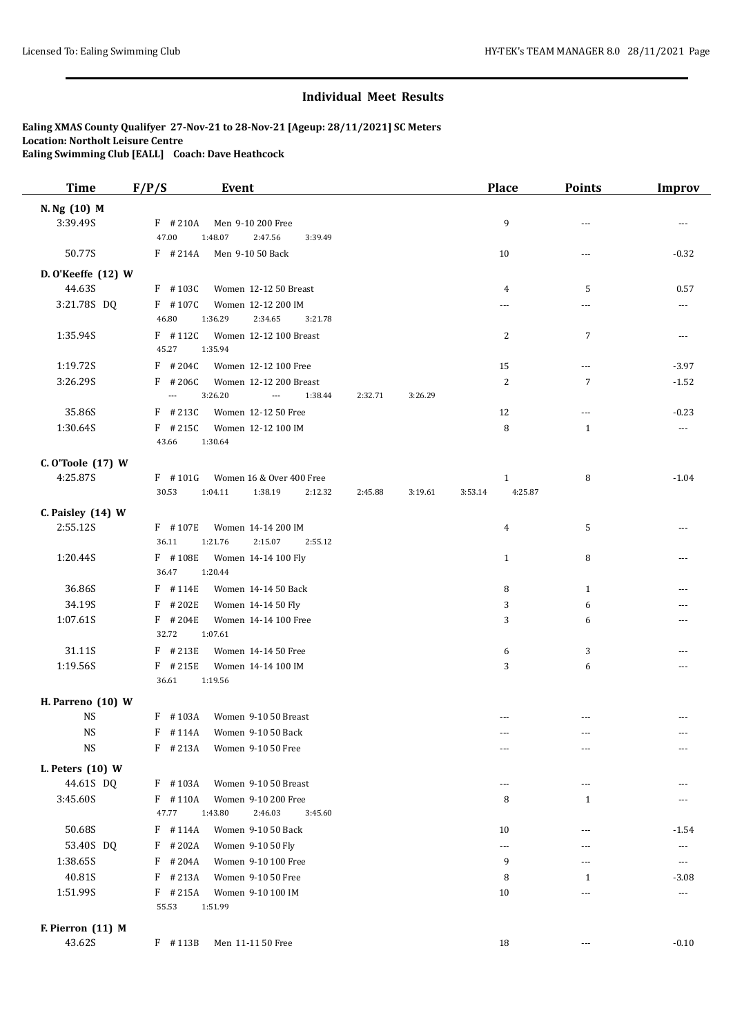| <b>Time</b>        | F/P/S                                  | Event                                                                    |         |         | Place              | <b>Points</b>            | <b>Improv</b> |
|--------------------|----------------------------------------|--------------------------------------------------------------------------|---------|---------|--------------------|--------------------------|---------------|
| N. Ng (10) M       |                                        |                                                                          |         |         |                    |                          |               |
| 3:39.49S           | $F$ # 210A                             | Men 9-10 200 Free                                                        |         |         | 9                  | ---                      |               |
|                    | 47.00                                  | 1:48.07<br>2:47.56<br>3:39.49                                            |         |         |                    |                          |               |
| 50.77S             | $F$ # 214A                             | Men 9-10 50 Back                                                         |         |         | 10                 | ---                      | $-0.32$       |
| D. O'Keeffe (12) W |                                        |                                                                          |         |         |                    |                          |               |
| 44.63S             | $F$ #103C                              | Women 12-12 50 Breast                                                    |         |         | 4                  | 5                        | 0.57          |
| 3:21.78S DQ        | $F$ #107C                              | Women 12-12 200 IM                                                       |         |         | ---                |                          | $---$         |
|                    | 46.80                                  | 1:36.29<br>2:34.65<br>3:21.78                                            |         |         |                    |                          |               |
| 1:35.94S           | $F$ #112C                              | Women 12-12 100 Breast                                                   |         |         | 2                  | 7                        | $---$         |
|                    | 45.27                                  | 1:35.94                                                                  |         |         |                    |                          |               |
| 1:19.72S           | $F$ # 204C                             | Women 12-12 100 Free                                                     |         |         | 15                 | $\sim$ $\sim$ $\sim$     | $-3.97$       |
| 3:26.29S           | $F$ # 206C<br>$\overline{\phantom{a}}$ | Women 12-12 200 Breast<br>3:26.20<br>$\overline{\phantom{a}}$<br>1:38.44 | 2:32.71 | 3:26.29 | $\overline{2}$     | 7                        | $-1.52$       |
|                    |                                        |                                                                          |         |         |                    |                          |               |
| 35.86S<br>1:30.64S | $F$ # 213C<br>$F$ # 215C               | Women 12-12 50 Free<br>Women 12-12 100 IM                                |         |         | 12<br>8            | $\cdots$<br>$\mathbf{1}$ | $-0.23$       |
|                    | 43.66                                  | 1:30.64                                                                  |         |         |                    |                          | $\cdots$      |
| C. O'Toole (17) W  |                                        |                                                                          |         |         |                    |                          |               |
| 4:25.87S           | $F$ #101G                              | Women 16 & Over 400 Free                                                 |         |         | $\mathbf{1}$       | 8                        | $-1.04$       |
|                    | 30.53                                  | 1:04.11<br>1:38.19<br>2:12.32                                            | 2:45.88 | 3:19.61 | 4:25.87<br>3:53.14 |                          |               |
| C. Paisley (14) W  |                                        |                                                                          |         |         |                    |                          |               |
| 2:55.12S           | $F$ #107E                              | Women 14-14 200 IM                                                       |         |         | 4                  | 5                        |               |
|                    | 36.11                                  | 1:21.76<br>2:15.07<br>2:55.12                                            |         |         |                    |                          |               |
| 1:20.44S           | F #108E                                | Women 14-14 100 Fly                                                      |         |         | $\mathbf{1}$       | 8                        |               |
|                    | 36.47                                  | 1:20.44                                                                  |         |         |                    |                          |               |
| 36.86S             | $F$ #114E                              | Women 14-14 50 Back                                                      |         |         | 8                  | $\mathbf{1}$             |               |
| 34.19S             | $F$ # 202E                             | Women 14-14 50 Fly                                                       |         |         | 3                  | 6                        |               |
| 1:07.61S           | $F$ # 204E                             | Women 14-14 100 Free                                                     |         |         | 3                  | 6                        | $---$         |
|                    | 32.72                                  | 1:07.61                                                                  |         |         |                    |                          |               |
| 31.11S             | $F$ # 213E                             | Women 14-14 50 Free                                                      |         |         | 6                  | 3                        |               |
| 1:19.56S           | $F$ # 215E<br>36.61                    | Women 14-14 100 IM<br>1:19.56                                            |         |         | 3                  | 6                        |               |
|                    |                                        |                                                                          |         |         |                    |                          |               |
| H. Parreno (10) W  |                                        |                                                                          |         |         |                    |                          |               |
| <b>NS</b>          | $F$ #103A                              | Women 9-10 50 Breast                                                     |         |         |                    |                          |               |
| $\rm{NS}$          |                                        | F #114A Women 9-10 50 Back                                               |         |         |                    |                          |               |
| <b>NS</b>          | $F$ # 213A                             | Women 9-10 50 Free                                                       |         |         | ---                | ---                      |               |
| L. Peters $(10)$ W |                                        |                                                                          |         |         |                    |                          |               |
| 44.61S DQ          | $F$ #103A                              | Women 9-10 50 Breast                                                     |         |         | ---                | ---                      |               |
| 3:45.60S           | $F$ #110A                              | Women 9-10 200 Free                                                      |         |         | 8                  | $\mathbf{1}$             |               |
|                    | 47.77                                  | 1:43.80<br>2:46.03<br>3:45.60                                            |         |         |                    |                          |               |
| 50.68S             | $F$ #114A                              | Women 9-10 50 Back                                                       |         |         | 10                 | ---                      | $-1.54$       |
| 53.40S DQ          | $F$ # 202A                             | Women 9-10 50 Fly                                                        |         |         | $\cdots$           | ---                      | $---$         |
| 1:38.65S           | $F$ # 204A                             | Women 9-10 100 Free                                                      |         |         | 9                  | ---                      | $\cdots$      |
| 40.81S             | $F$ # 213A                             | Women 9-10 50 Free                                                       |         |         | 8                  | 1                        | $-3.08$       |
| 1:51.99S           | $F$ # 215A                             | Women 9-10 100 IM                                                        |         |         | 10                 | ---                      | $\cdots$      |
|                    | 55.53                                  | 1:51.99                                                                  |         |         |                    |                          |               |
| F. Pierron (11) M  |                                        |                                                                          |         |         |                    |                          |               |
| 43.62S             | F #113B                                | Men 11-11 50 Free                                                        |         |         | 18                 | $\overline{a}$           | $-0.10$       |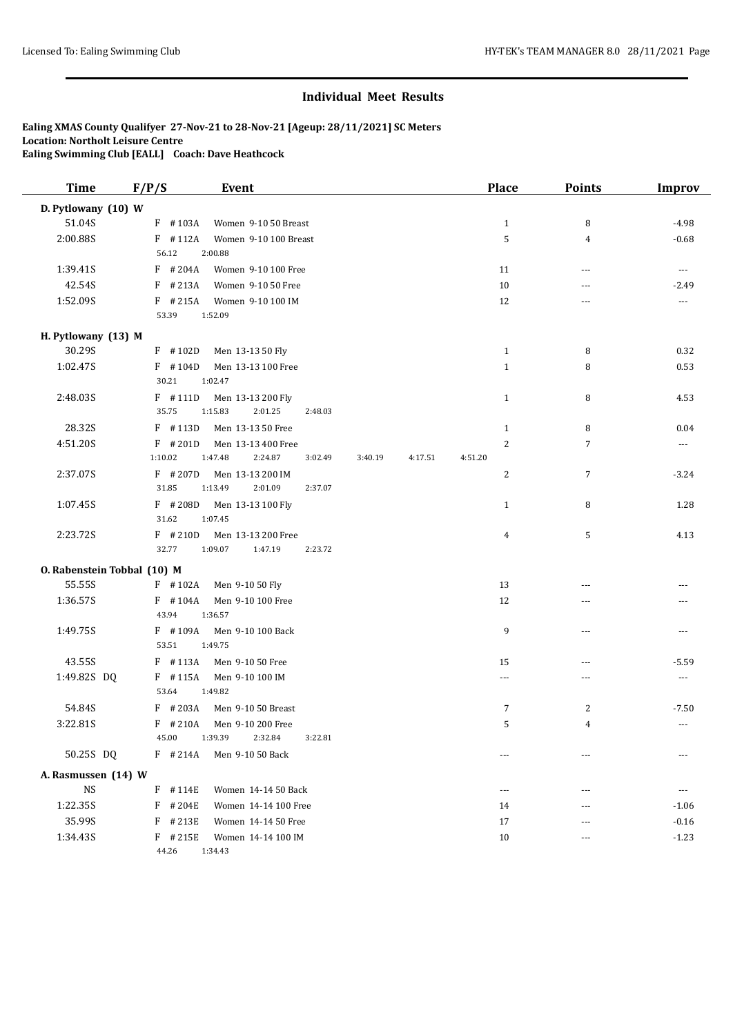| <b>Time</b>                 | F/P/S      | <b>Event</b>          |         |         |         | <b>Place</b>   | Points         | <b>Improv</b>            |
|-----------------------------|------------|-----------------------|---------|---------|---------|----------------|----------------|--------------------------|
| D. Pytlowany (10) W         |            |                       |         |         |         |                |                |                          |
| 51.04S                      | $F$ #103A  | Women 9-10 50 Breast  |         |         |         | $\mathbf{1}$   | 8              | $-4.98$                  |
| 2:00.88S                    | $F$ #112A  | Women 9-10 100 Breast |         |         |         | 5              | 4              | $-0.68$                  |
|                             | 56.12      | 2:00.88               |         |         |         |                |                |                          |
| 1:39.41S                    | $F$ # 204A | Women 9-10 100 Free   |         |         |         | 11             | ---            | $---$                    |
| 42.54S                      | $F$ # 213A | Women 9-10 50 Free    |         |         |         | 10             | ---            | $-2.49$                  |
| 1:52.09S                    | $F$ # 215A | Women 9-10 100 IM     |         |         |         | 12             | ---            | $\overline{\phantom{a}}$ |
|                             | 53.39      | 1:52.09               |         |         |         |                |                |                          |
| H. Pytlowany (13) M         |            |                       |         |         |         |                |                |                          |
| 30.29S                      | $F$ #102D  | Men 13-13 50 Fly      |         |         |         | $\mathbf{1}$   | 8              | 0.32                     |
| 1:02.47S                    | $F$ #104D  | Men 13-13 100 Free    |         |         |         | $\mathbf{1}$   | 8              | 0.53                     |
|                             | 30.21      | 1:02.47               |         |         |         |                |                |                          |
| 2:48.03S                    | $F$ #111D  | Men 13-13 200 Fly     |         |         |         | $\mathbf{1}$   | 8              | 4.53                     |
|                             | 35.75      | 1:15.83<br>2:01.25    | 2:48.03 |         |         |                |                |                          |
| 28.32S                      | $F$ #113D  | Men 13-13 50 Free     |         |         |         | $\mathbf{1}$   | 8              | 0.04                     |
| 4:51.20S                    | $F$ # 201D | Men 13-13 400 Free    |         |         |         | $\overline{c}$ | $\overline{7}$ | $\cdots$                 |
|                             | 1:10.02    | 1:47.48<br>2:24.87    | 3:02.49 | 3:40.19 | 4:17.51 | 4:51.20        |                |                          |
| 2:37.07S                    | $F$ # 207D | Men 13-13 200 IM      |         |         |         | 2              | $\sqrt{7}$     | $-3.24$                  |
|                             | 31.85      | 1:13.49<br>2:01.09    | 2:37.07 |         |         |                |                |                          |
| 1:07.45S                    | $F$ # 208D | Men 13-13 100 Fly     |         |         |         | $\mathbf{1}$   | 8              | 1.28                     |
|                             | 31.62      | 1:07.45               |         |         |         |                |                |                          |
| 2:23.72S                    | $F$ # 210D | Men 13-13 200 Free    |         |         |         | 4              | 5              | 4.13                     |
|                             | 32.77      | 1:09.07<br>1:47.19    | 2:23.72 |         |         |                |                |                          |
| O. Rabenstein Tobbal (10) M |            |                       |         |         |         |                |                |                          |
| 55.55S                      | $F$ #102A  | Men 9-10 50 Fly       |         |         |         | 13             | ---            |                          |
| 1:36.57S                    | $F$ #104A  | Men 9-10 100 Free     |         |         |         | 12             | ---            |                          |
|                             | 43.94      | 1:36.57               |         |         |         |                |                |                          |
| 1:49.75S                    | $F$ #109A  | Men 9-10 100 Back     |         |         |         | 9              | ---            | ---                      |
|                             | 53.51      | 1:49.75               |         |         |         |                |                |                          |
| 43.55S                      | $F$ #113A  | Men 9-10 50 Free      |         |         |         | 15             | ---            | $-5.59$                  |
| 1:49.82S DQ                 | $F$ #115A  | Men 9-10 100 IM       |         |         |         | ---            | ---            | ---                      |
|                             | 53.64      | 1:49.82               |         |         |         |                |                |                          |
| 54.84S                      | $F$ # 203A | Men 9-10 50 Breast    |         |         |         | 7              | $\overline{c}$ | $-7.50$                  |
| 3:22.81S                    | $F$ # 210A | Men 9-10 200 Free     |         |         |         | 5              | 4              | $\overline{\phantom{a}}$ |
|                             | 45.00      | 1:39.39<br>2:32.84    | 3:22.81 |         |         |                |                |                          |
| 50.25S DQ                   | $F$ # 214A | Men 9-10 50 Back      |         |         |         | $---$          | ---            |                          |
| A. Rasmussen (14) W         |            |                       |         |         |         |                |                |                          |
| $_{\rm NS}$                 | F #114E    | Women 14-14 50 Back   |         |         |         | ---            | ---            |                          |
| 1:22.35S                    | F<br>#204E | Women 14-14 100 Free  |         |         |         | 14             | ---            | $-1.06$                  |
| 35.99S                      | $F$ # 213E | Women 14-14 50 Free   |         |         |         | 17             | ---            | $-0.16$                  |
| 1:34.43S                    | $F$ # 215E | Women 14-14 100 IM    |         |         |         | 10             | ---            | $-1.23$                  |
|                             | 44.26      | 1:34.43               |         |         |         |                |                |                          |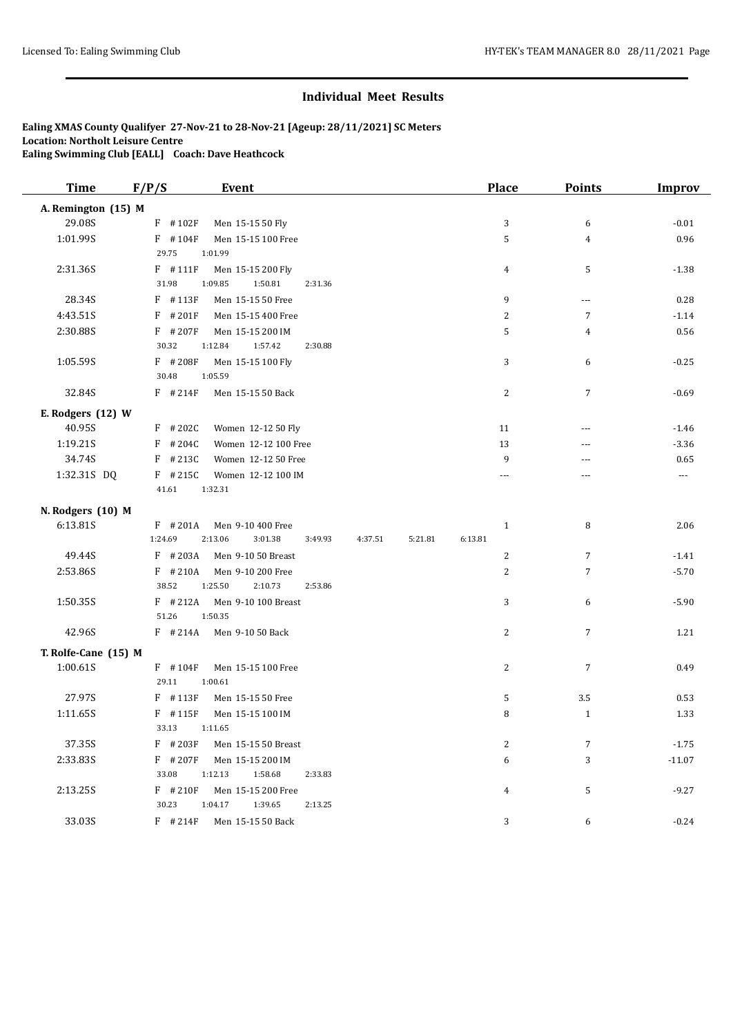| <b>Time</b>          | F/P/S      | <b>Event</b>                  |         |         | <b>Place</b>   | <b>Points</b>        | <b>Improv</b> |
|----------------------|------------|-------------------------------|---------|---------|----------------|----------------------|---------------|
| A. Remington (15) M  |            |                               |         |         |                |                      |               |
| 29.08S               | $F$ #102F  | Men 15-15 50 Fly              |         |         | 3              | 6                    | $-0.01$       |
| 1:01.99S             | $F$ #104F  | Men 15-15 100 Free            |         |         | 5              | $\overline{4}$       | 0.96          |
|                      | 29.75      | 1:01.99                       |         |         |                |                      |               |
| 2:31.36S             | $F$ #111F  | Men 15-15 200 Fly             |         |         | 4              | 5                    | $-1.38$       |
|                      | 31.98      | 1:09.85<br>1:50.81<br>2:31.36 |         |         |                |                      |               |
| 28.34S               | F #113F    | Men 15-15 50 Free             |         |         | 9              | $\sim$ $\sim$ $\sim$ | 0.28          |
| 4:43.51S             | $F$ #201F  | Men 15-15 400 Free            |         |         | 2              | $7\overline{ }$      | $-1.14$       |
| 2:30.88S             | $F$ # 207F | Men 15-15 200 IM              |         |         | 5              | $\overline{4}$       | 0.56          |
|                      | 30.32      | 1:12.84<br>1:57.42<br>2:30.88 |         |         |                |                      |               |
| 1:05.59S             | F #208F    | Men 15-15 100 Fly             |         |         | 3              | 6                    | $-0.25$       |
|                      | 30.48      | 1:05.59                       |         |         |                |                      |               |
| 32.84S               | $F$ # 214F | Men 15-15 50 Back             |         |         | 2              | 7                    | $-0.69$       |
| E. Rodgers (12) W    |            |                               |         |         |                |                      |               |
| 40.95S               | $F$ # 202C | Women 12-12 50 Fly            |         |         | 11             | $- - -$              | $-1.46$       |
| 1:19.21S             | #204C<br>F | Women 12-12 100 Free          |         |         | 13             |                      | $-3.36$       |
| 34.74S               | $F$ # 213C | Women 12-12 50 Free           |         |         | 9              | ---                  | 0.65          |
| 1:32.31S DQ          | $F$ # 215C | Women 12-12 100 IM            |         |         | $\overline{a}$ | $---$                | $\cdots$      |
|                      | 41.61      | 1:32.31                       |         |         |                |                      |               |
| N. Rodgers (10) M    |            |                               |         |         |                |                      |               |
| 6:13.81S             | $F$ #201A  | Men 9-10 400 Free             |         |         | $\mathbf{1}$   | 8                    | 2.06          |
|                      | 1:24.69    | 2:13.06<br>3:01.38<br>3:49.93 | 4:37.51 | 5:21.81 | 6:13.81        |                      |               |
| 49.44S               | $F$ # 203A | Men 9-10 50 Breast            |         |         | 2              | $\overline{7}$       | $-1.41$       |
| 2:53.86S             | $F$ #210A  | Men 9-10 200 Free             |         |         | $\overline{c}$ | $\overline{7}$       | $-5.70$       |
|                      | 38.52      | 1:25.50<br>2:10.73<br>2:53.86 |         |         |                |                      |               |
| 1:50.35S             | $F$ # 212A | Men 9-10 100 Breast           |         |         | 3              | 6                    | $-5.90$       |
|                      | 51.26      | 1:50.35                       |         |         |                |                      |               |
| 42.96S               | $F$ # 214A | Men 9-10 50 Back              |         |         | $\overline{c}$ | $\overline{7}$       | 1.21          |
| T. Rolfe-Cane (15) M |            |                               |         |         |                |                      |               |
| 1:00.61S             | $F$ #104F  | Men 15-15 100 Free            |         |         | $\overline{c}$ | $\sqrt{ }$           | 0.49          |
|                      | 29.11      | 1:00.61                       |         |         |                |                      |               |
| 27.97S               | F #113F    | Men 15-15 50 Free             |         |         | 5              | 3.5                  | 0.53          |
| 1:11.65S             | F #115F    | Men 15-15 100 IM              |         |         | 8              | $\mathbf{1}$         | 1.33          |
|                      | 33.13      | 1:11.65                       |         |         |                |                      |               |
| 37.35S               | $F$ # 203F | Men 15-15 50 Breast           |         |         | $\overline{c}$ | 7                    | $-1.75$       |
| 2:33.83S             | $F$ # 207F | Men 15-15 200 IM              |         |         | 6              | 3                    | $-11.07$      |
|                      | 33.08      | 1:12.13<br>1:58.68<br>2:33.83 |         |         |                |                      |               |
| 2:13.25S             | $F$ #210F  | Men 15-15 200 Free            |         |         | 4              | 5                    | $-9.27$       |
|                      | 30.23      | 1:39.65<br>1:04.17<br>2:13.25 |         |         |                |                      |               |
| 33.03S               | $F$ # 214F | Men 15-15 50 Back             |         |         | 3              | 6                    | $-0.24$       |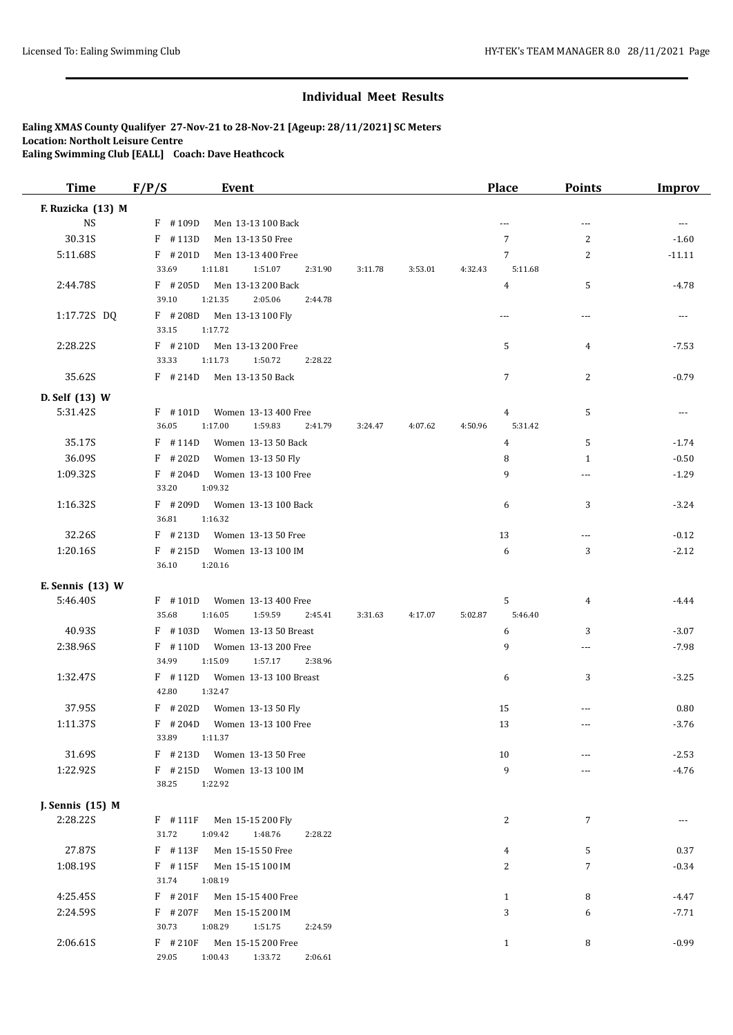| <b>Time</b>       | F/P/S<br><b>Event</b>                                |                    |         | <b>Place</b>       | <b>Points</b>  | <b>Improv</b> |
|-------------------|------------------------------------------------------|--------------------|---------|--------------------|----------------|---------------|
| F. Ruzicka (13) M |                                                      |                    |         |                    |                |               |
| <b>NS</b>         | $F$ #109D<br>Men 13-13 100 Back                      |                    |         | $\overline{a}$     | $\overline{a}$ | $---$         |
| 30.31S            | $F$ #113D<br>Men 13-13 50 Free                       |                    |         | 7                  | 2              | $-1.60$       |
| 5:11.68S          | $F$ # 201D<br>Men 13-13 400 Free                     |                    |         | $\overline{7}$     | $\overline{c}$ | $-11.11$      |
|                   | 33.69<br>1:11.81<br>1:51.07                          | 2:31.90<br>3:11.78 | 3:53.01 | 4:32.43<br>5:11.68 |                |               |
| 2:44.78S          | $F$ # 205D<br>Men 13-13 200 Back                     |                    |         | $\overline{4}$     | 5              | $-4.78$       |
|                   | 39.10<br>1:21.35<br>2:05.06                          | 2:44.78            |         |                    |                |               |
| 1:17.72S DQ       | $F$ # 208D<br>Men 13-13 100 Fly                      |                    |         | $\sim$ $\sim$      | ---            | $---$         |
|                   | 33.15<br>1:17.72                                     |                    |         |                    |                |               |
| 2:28.22S          | $F$ #210D<br>Men 13-13 200 Free                      |                    |         | 5                  | $\overline{4}$ | $-7.53$       |
|                   | 33.33<br>1:11.73<br>1:50.72                          | 2:28.22            |         |                    |                |               |
| 35.62S            | $F$ # 214D<br>Men 13-13 50 Back                      |                    |         | 7                  | $\overline{c}$ | $-0.79$       |
| D. Self (13) W    |                                                      |                    |         |                    |                |               |
| 5:31.42S          | $F$ #101D<br>Women 13-13 400 Free                    |                    |         | 4                  | 5              | $\cdots$      |
|                   | 36.05<br>1:17.00<br>1:59.83                          | 2:41.79<br>3:24.47 | 4:07.62 | 5:31.42<br>4:50.96 |                |               |
| 35.17S            | $F$ #114D<br>Women 13-13 50 Back                     |                    |         | $\overline{4}$     | 5              | $-1.74$       |
| 36.09S            | $F$ # 202D<br>Women 13-13 50 Fly                     |                    |         | 8                  | $\mathbf{1}$   | $-0.50$       |
| 1:09.32S          | $F$ # 204D<br>Women 13-13 100 Free                   |                    |         | 9                  | ---            | $-1.29$       |
|                   | 33.20<br>1:09.32                                     |                    |         |                    |                |               |
| 1:16.32S          | $F$ # 209D<br>Women 13-13 100 Back                   |                    |         | 6                  | 3              | $-3.24$       |
|                   | 36.81<br>1:16.32                                     |                    |         |                    |                |               |
| 32.26S            | $F$ # 213D<br>Women 13-13 50 Free                    |                    |         | 13                 | ---            | $-0.12$       |
| 1:20.16S          | $F$ # 215D<br>Women 13-13 100 IM<br>36.10<br>1:20.16 |                    |         | 6                  | 3              | $-2.12$       |
| E. Sennis (13) W  |                                                      |                    |         |                    |                |               |
| 5:46.40S          | $F$ #101D<br>Women 13-13 400 Free                    |                    |         | 5                  | $\overline{4}$ | $-4.44$       |
|                   | 35.68<br>1:16.05<br>1:59.59                          | 3:31.63<br>2:45.41 | 4:17.07 | 5:46.40<br>5:02.87 |                |               |
| 40.93S            | $F$ #103D<br>Women 13-13 50 Breast                   |                    |         | 6                  | 3              | $-3.07$       |
| 2:38.96S          | $F$ #110D<br>Women 13-13 200 Free                    |                    |         | 9                  | $\cdots$       | $-7.98$       |
|                   | 34.99<br>1:15.09<br>1:57.17                          | 2:38.96            |         |                    |                |               |
| 1:32.47S          | $F$ #112D<br>Women 13-13 100 Breast                  |                    |         | 6                  | 3              | $-3.25$       |
|                   | 42.80<br>1:32.47                                     |                    |         |                    |                |               |
| 37.95S            | $F$ # 202D<br>Women 13-13 50 Fly                     |                    |         | 15                 | ---            | 0.80          |
| 1:11.37S          | $F$ # 204D<br>Women 13-13 100 Free                   |                    |         | 13                 | $- - -$        | $-3.76$       |
|                   | 33.89<br>1:11.37                                     |                    |         |                    |                |               |
| 31.69S            | $F$ # 213D<br>Women 13-13 50 Free                    |                    |         | 10                 | ---            | $-2.53$       |
| 1:22.92S          | $F$ # 215D<br>Women 13-13 100 IM                     |                    |         | 9                  | ---            | $-4.76$       |
|                   | 38.25<br>1:22.92                                     |                    |         |                    |                |               |
| J. Sennis (15) M  |                                                      |                    |         |                    |                |               |
| 2:28.22S          | $F$ #111F<br>Men 15-15 200 Fly                       |                    |         | 2                  | $\overline{7}$ | $\cdots$      |
|                   | 31.72<br>1:48.76<br>1:09.42                          | 2:28.22            |         |                    |                |               |
| 27.87S            | F #113F<br>Men 15-15 50 Free                         |                    |         | 4                  | 5              | 0.37          |
| 1:08.19S          | $F$ #115F<br>Men 15-15 100 IM                        |                    |         | 2                  | $\overline{7}$ | $-0.34$       |
|                   | 31.74<br>1:08.19                                     |                    |         |                    |                |               |
| 4:25.45S          | $F$ #201F<br>Men 15-15 400 Free                      |                    |         | $\mathbf{1}$       | 8              | $-4.47$       |
| 2:24.59S          | $F$ # 207F<br>Men 15-15 200 IM                       |                    |         | 3                  | 6              | $-7.71$       |
|                   | 30.73<br>1:08.29<br>1:51.75                          | 2:24.59            |         |                    |                |               |
| 2:06.61S          | $F$ #210F<br>Men 15-15 200 Free                      |                    |         | $\mathbf{1}$       | 8              | $-0.99$       |
|                   | 29.05<br>1:00.43<br>1:33.72                          | 2:06.61            |         |                    |                |               |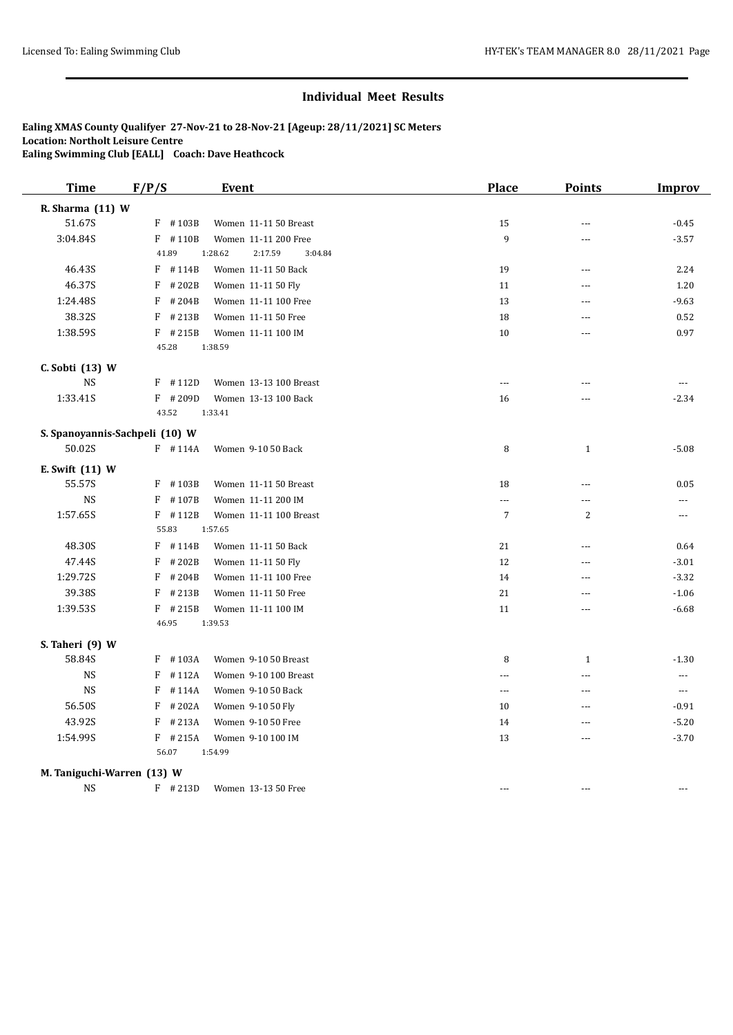| <b>Time</b>                | F/P/S                          | <b>Event</b>                  | <b>Place</b>         | <b>Points</b>  | <b>Improv</b> |
|----------------------------|--------------------------------|-------------------------------|----------------------|----------------|---------------|
| R. Sharma (11) W           |                                |                               |                      |                |               |
| 51.67S                     | $F$ #103B                      | Women 11-11 50 Breast         | 15                   | <u></u>        | $-0.45$       |
| 3:04.84S                   | $F$ #110B                      | Women 11-11 200 Free          | 9                    | ---            | $-3.57$       |
|                            | 41.89                          | 1:28.62<br>2:17.59<br>3:04.84 |                      |                |               |
| 46.43S                     | $F$ #114B                      | Women 11-11 50 Back           | 19                   | $- - -$        | 2.24          |
| 46.37S                     | F<br>#202B                     | Women 11-11 50 Fly            | 11                   |                | 1.20          |
| 1:24.48S                   | F<br>#204B                     | Women 11-11 100 Free          | 13                   | ---            | $-9.63$       |
| 38.32S                     | F<br>#213B                     | Women 11-11 50 Free           | 18                   | ---            | 0.52          |
| 1:38.59S                   | $F$ # 215B                     | Women 11-11 100 IM            | 10                   | <u></u>        | 0.97          |
|                            | 45.28                          | 1:38.59                       |                      |                |               |
| C. Sobti (13) W            |                                |                               |                      |                |               |
| NS                         | $F$ #112D                      | Women 13-13 100 Breast        | $-$                  | ---            | $- - -$       |
| 1:33.41S                   | $F$ #209D                      | Women 13-13 100 Back          | 16                   | ---            | $-2.34$       |
|                            | 43.52                          | 1:33.41                       |                      |                |               |
|                            | S. Spanoyannis-Sachpeli (10) W |                               |                      |                |               |
| 50.02S                     | $F$ #114A                      | Women 9-10 50 Back            | 8                    | $\mathbf{1}$   | $-5.08$       |
| E. Swift (11) W            |                                |                               |                      |                |               |
| 55.57S                     | F #103B                        | Women 11-11 50 Breast         | 18                   | ---            | 0.05          |
| <b>NS</b>                  | F<br>#107B                     | Women 11-11 200 IM            | $\sim$ $\sim$ $\sim$ | $\overline{a}$ | $---$         |
| 1:57.65S                   | $F$ #112B                      | Women 11-11 100 Breast        | $\overline{7}$       | $\overline{2}$ | $- - -$       |
|                            | 55.83                          | 1:57.65                       |                      |                |               |
| 48.30S                     | $F$ #114B                      | Women 11-11 50 Back           | 21                   | ---            | 0.64          |
| 47.44S                     | F<br>#202B                     | Women 11-11 50 Fly            | 12                   | ---            | $-3.01$       |
| 1:29.72S                   | F<br>#204B                     | Women 11-11 100 Free          | 14                   | ---            | $-3.32$       |
| 39.38S                     | $F$ # 213B                     | Women 11-11 50 Free           | 21                   | ---            | $-1.06$       |
| 1:39.53S                   | $F$ # 215B                     | Women 11-11 100 IM            | 11                   | ---            | $-6.68$       |
|                            | 46.95                          | 1:39.53                       |                      |                |               |
| S. Taheri (9) W            |                                |                               |                      |                |               |
| 58.84S                     | $F$ #103A                      | Women 9-10 50 Breast          | 8                    | $\mathbf{1}$   | $-1.30$       |
| <b>NS</b>                  | #112A<br>F                     | Women 9-10 100 Breast         | ---                  | ---            | ---           |
| <b>NS</b>                  | F<br>#114A                     | Women 9-10 50 Back            | $\sim$ $\sim$        | <u></u>        | $\ldots$      |
| 56.50S                     | #202A<br>F                     | Women 9-10 50 Fly             | 10                   |                | $-0.91$       |
| 43.92S                     | F<br>#213A                     | Women 9-10 50 Free            | 14                   | $\sim$         | $-5.20$       |
| 1:54.99S                   | $F$ # 215A                     | Women 9-10 100 IM             | 13                   | $\sim$         | $-3.70$       |
|                            | 56.07                          | 1:54.99                       |                      |                |               |
| M. Taniguchi-Warren (13) W |                                |                               |                      |                |               |
| NS                         | $F$ #213D                      | Women 13-13 50 Free           | $\sim$               | $\sim$         | $- - -$       |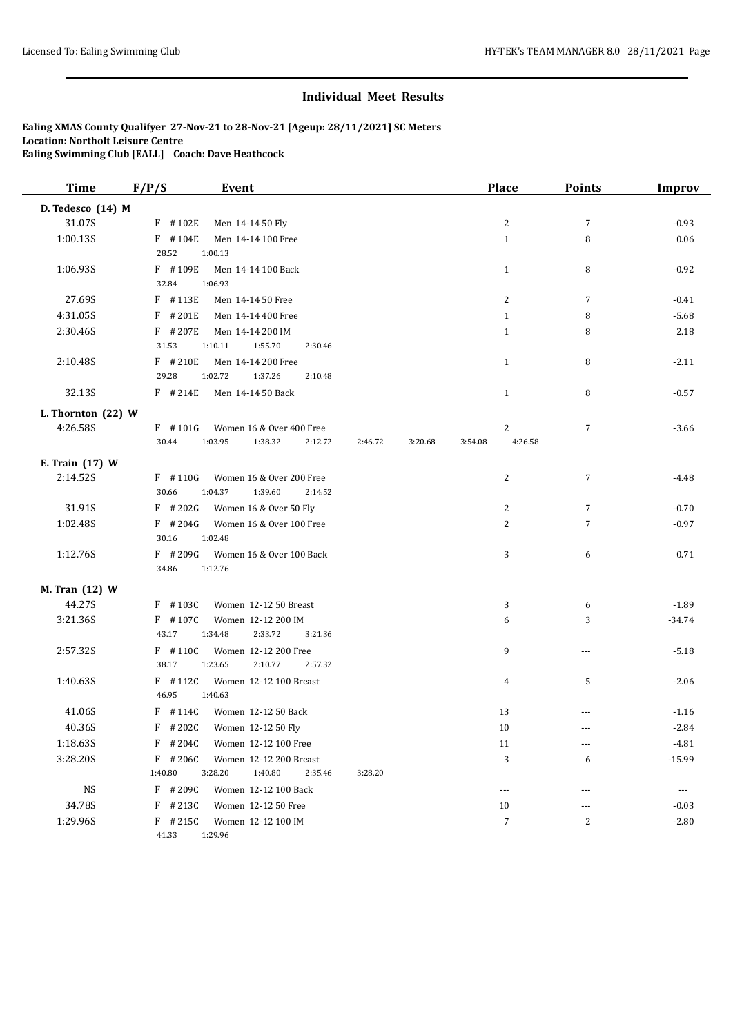| <b>Time</b>          | F/P/S               | Event                                                     |         |         | <b>Place</b>            | <b>Points</b>  | <b>Improv</b> |
|----------------------|---------------------|-----------------------------------------------------------|---------|---------|-------------------------|----------------|---------------|
| D. Tedesco (14) M    |                     |                                                           |         |         |                         |                |               |
| 31.07S               | $F$ #102E           | Men 14-14 50 Fly                                          |         |         | 2                       | $\overline{7}$ | $-0.93$       |
| 1:00.13S             | $F$ #104E           | Men 14-14 100 Free                                        |         |         | $\mathbf{1}$            | 8              | 0.06          |
|                      | 28.52               | 1:00.13                                                   |         |         |                         |                |               |
| 1:06.93S             | F #109E             | Men 14-14 100 Back                                        |         |         | $\mathbf{1}$            | 8              | $-0.92$       |
|                      | 32.84               | 1:06.93                                                   |         |         |                         |                |               |
| 27.69S               | F #113E             | Men 14-14 50 Free                                         |         |         | 2                       | 7              | $-0.41$       |
| 4:31.05S             | $F$ #201E           | Men 14-14 400 Free                                        |         |         | $\mathbf{1}$            | 8              | $-5.68$       |
| 2:30.46S             | $F$ # 207E          | Men 14-14 200 IM                                          |         |         | $\mathbf{1}$            | 8              | 2.18          |
|                      | 31.53               | 1:10.11<br>1:55.70<br>2:30.46                             |         |         |                         |                |               |
| 2:10.48S             | $F$ #210E<br>29.28  | Men 14-14 200 Free<br>1:02.72<br>1:37.26<br>2:10.48       |         |         | $\mathbf{1}$            | 8              | $-2.11$       |
| 32.13S               | $F$ # 214E          | Men 14-14 50 Back                                         |         |         | $\mathbf{1}$            | 8              | $-0.57$       |
|                      |                     |                                                           |         |         |                         |                |               |
| L. Thornton $(22)$ W |                     |                                                           |         |         |                         |                |               |
| 4:26.58S             | $F$ #101G<br>30.44  | Women 16 & Over 400 Free<br>1:03.95<br>1:38.32<br>2:12.72 | 2:46.72 | 3:20.68 | 2<br>4:26.58<br>3:54.08 | $\overline{7}$ | $-3.66$       |
|                      |                     |                                                           |         |         |                         |                |               |
| E. Train (17) W      |                     |                                                           |         |         |                         |                |               |
| 2:14.52S             | $F$ #110G           | Women 16 & Over 200 Free                                  |         |         | 2                       | $\overline{7}$ | $-4.48$       |
|                      | 30.66               | 1:04.37<br>1:39.60<br>2:14.52                             |         |         |                         |                |               |
| 31.91S               | $F$ # 202G          | Women 16 & Over 50 Fly                                    |         |         | 2                       | $\overline{7}$ | $-0.70$       |
| 1:02.48S             | $F$ # 204G<br>30.16 | Women 16 & Over 100 Free<br>1:02.48                       |         |         | 2                       | 7              | $-0.97$       |
| 1:12.76S             | $F$ # 209G          | Women 16 & Over 100 Back                                  |         |         | 3                       | 6              | 0.71          |
|                      | 34.86               | 1:12.76                                                   |         |         |                         |                |               |
| M. Tran (12) W       |                     |                                                           |         |         |                         |                |               |
| 44.27S               | $F$ #103C           | Women 12-12 50 Breast                                     |         |         | 3                       | 6              | $-1.89$       |
| 3:21.36S             | $F$ #107C           | Women 12-12 200 IM                                        |         |         | 6                       | 3              | $-34.74$      |
|                      | 43.17               | 1:34.48<br>2:33.72<br>3:21.36                             |         |         |                         |                |               |
| 2:57.32S             | $F$ #110C           | Women 12-12 200 Free                                      |         |         | 9                       | ---            | $-5.18$       |
|                      | 38.17               | 1:23.65<br>2:10.77<br>2:57.32                             |         |         |                         |                |               |
| 1:40.63S             | $F$ #112C           | Women 12-12 100 Breast                                    |         |         | 4                       | 5              | $-2.06$       |
|                      | 46.95               | 1:40.63                                                   |         |         |                         |                |               |
| 41.06S               | $F$ #114C           | Women 12-12 50 Back                                       |         |         | 13                      | ---            | $-1.16$       |
| 40.36S               | $F$ # 202C          | Women 12-12 50 Fly                                        |         |         | 10                      | ---            | $-2.84$       |
| 1:18.63S             | $F$ # 204C          | Women 12-12 100 Free                                      |         |         | 11                      | ---            | $-4.81$       |
| 3:28.20S             | $F$ # 206C          | Women 12-12 200 Breast                                    |         |         | 3                       | 6              | $-15.99$      |
|                      | 1:40.80             | 3:28.20<br>1:40.80<br>2:35.46                             | 3:28.20 |         |                         |                |               |
| <b>NS</b>            | $F$ # 209C          | Women 12-12 100 Back                                      |         |         | $\cdots$                | ---            | ---           |
| 34.78S               | $F$ # 213C          | Women 12-12 50 Free                                       |         |         | 10                      | ---            | $-0.03$       |
| 1:29.96S             | $F$ # 215C          | Women 12-12 100 IM                                        |         |         | 7                       | 2              | $-2.80$       |
|                      | 41.33               | 1:29.96                                                   |         |         |                         |                |               |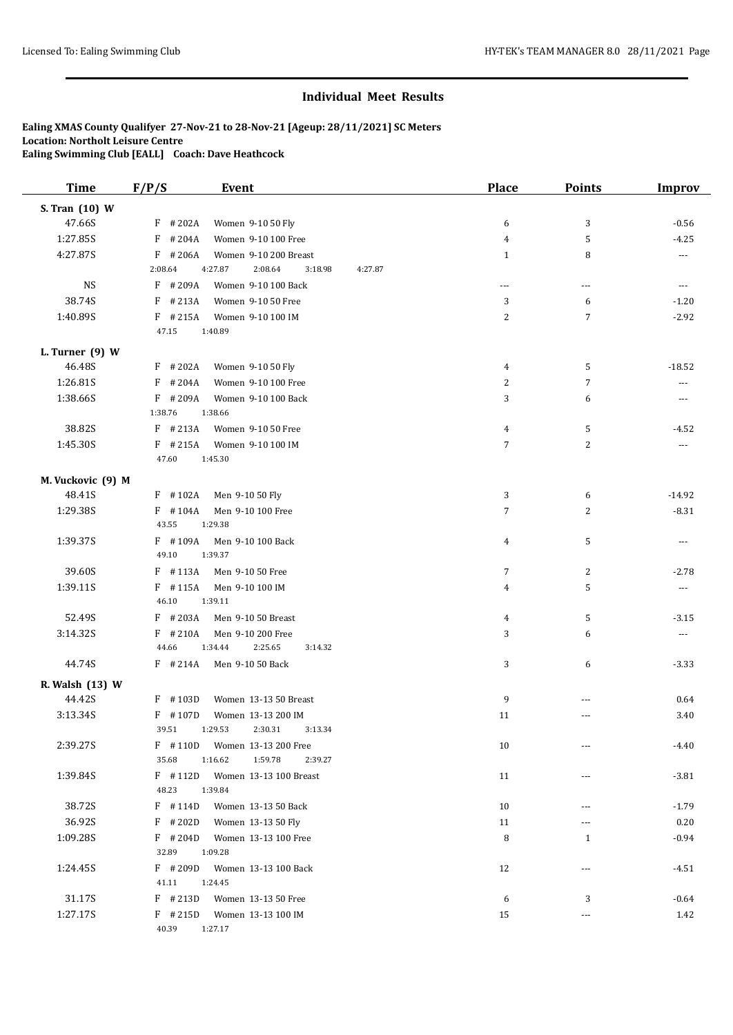| <b>Time</b>       | F/P/S<br><b>Event</b>                               | <b>Place</b>   | <b>Points</b>  | <b>Improv</b>        |
|-------------------|-----------------------------------------------------|----------------|----------------|----------------------|
| S. Tran (10) W    |                                                     |                |                |                      |
| 47.66S            | $F$ # 202A<br>Women 9-10 50 Fly                     | 6              | 3              | $-0.56$              |
| 1:27.85S          | $F$ # 204A<br>Women 9-10 100 Free                   | 4              | 5              | $-4.25$              |
| 4:27.87S          | $F$ # 206A<br>Women 9-10 200 Breast                 | $\mathbf{1}$   | 8              | $\sim$ $\sim$        |
|                   | 2:08.64<br>4:27.87<br>2:08.64<br>3:18.98<br>4:27.87 |                |                |                      |
| <b>NS</b>         | $F$ #209A<br>Women 9-10 100 Back                    | $\overline{a}$ | ---            | $\sim$ $\sim$ $\sim$ |
| 38.74S            | $F$ # 213A<br>Women 9-10 50 Free                    | 3              | 6              | $-1.20$              |
| 1:40.89S          | $F$ # 215A<br>Women 9-10 100 IM                     | 2              | $\overline{7}$ | $-2.92$              |
|                   | 47.15<br>1:40.89                                    |                |                |                      |
| L. Turner $(9)$ W |                                                     |                |                |                      |
| 46.48S            | $F$ #202A<br>Women 9-10 50 Fly                      | 4              | 5              | $-18.52$             |
| 1:26.81S          | $F$ # 204A<br>Women 9-10 100 Free                   | 2              | $\overline{7}$ | $---$                |
| 1:38.66S          | $F$ # 209A<br>Women 9-10 100 Back                   | 3              | 6              | ---                  |
|                   | 1:38.76<br>1:38.66                                  |                |                |                      |
| 38.82S            | $F$ # 213A<br>Women 9-10 50 Free                    | 4              | 5              | $-4.52$              |
| 1:45.30S          | $F$ #215A<br>Women 9-10 100 IM                      | 7              | $\overline{c}$ | $\sim$ $\sim$        |
|                   | 1:45.30<br>47.60                                    |                |                |                      |
| M. Vuckovic (9) M |                                                     |                |                |                      |
| 48.41S            | $F$ #102A<br>Men 9-10 50 Fly                        | 3              | 6              | $-14.92$             |
| 1:29.38S          | $F$ #104A<br>Men 9-10 100 Free                      | 7              | $\overline{c}$ | $-8.31$              |
|                   | 43.55<br>1:29.38                                    |                |                |                      |
| 1:39.37S          | $F$ #109A<br>Men 9-10 100 Back                      | 4              | 5              | $\cdots$             |
|                   | 49.10<br>1:39.37                                    |                |                |                      |
| 39.60S            | $F$ #113A<br>Men 9-10 50 Free                       | 7              | $\overline{c}$ | $-2.78$              |
| 1:39.11S          | $F$ #115A<br>Men 9-10 100 IM                        | 4              | 5              | $\sim$ $\sim$ $\sim$ |
|                   | 46.10<br>1:39.11                                    |                |                |                      |
| 52.49S            | $F$ # 203A<br>Men 9-10 50 Breast                    | 4              | 5              | $-3.15$              |
| 3:14.32S          | $F$ #210A<br>Men 9-10 200 Free                      | 3              | 6              | $\scriptstyle\cdots$ |
|                   | 2:25.65<br>44.66<br>1:34.44<br>3:14.32              |                |                |                      |
| 44.74S            | $F$ # 214A<br>Men 9-10 50 Back                      | 3              | 6              | $-3.33$              |
| R. Walsh (13) W   |                                                     |                |                |                      |
| 44.42S            | $F$ #103D<br>Women 13-13 50 Breast                  | 9              | ---            | 0.64                 |
| 3:13.34S          | $F$ #107D<br>Women 13-13 200 IM                     | 11             | ---            | 3.40                 |
|                   | 39.51<br>1:29.53<br>2:30.31<br>3:13.34              |                |                |                      |
| 2:39.27S          | $F$ #110D<br>Women 13-13 200 Free                   | 10             | ---            | $-4.40$              |
|                   | 35.68<br>1:16.62<br>1:59.78<br>2:39.27              |                |                |                      |
| 1:39.84S          | $F$ #112D<br>Women 13-13 100 Breast                 | 11             | ---            | $-3.81$              |
|                   | 48.23<br>1:39.84                                    |                |                |                      |
| 38.72S            | $F$ #114D<br>Women 13-13 50 Back                    | 10             | ---            | $-1.79$              |
| 36.92S            | $F$ # 202D<br>Women 13-13 50 Fly                    | 11             | ---            | 0.20                 |
| 1:09.28S          | $F$ # 204D<br>Women 13-13 100 Free                  | 8              | $\mathbf{1}$   | $-0.94$              |
|                   | 32.89<br>1:09.28                                    |                |                |                      |
| 1:24.45S          | $F$ # 209D<br>Women 13-13 100 Back                  | 12             | ---            | $-4.51$              |
|                   | 41.11<br>1:24.45                                    |                |                |                      |
| 31.17S            | $F$ # 213D<br>Women 13-13 50 Free                   | 6              | 3              | $-0.64$              |
| 1:27.17S          | $F$ # 215D<br>Women 13-13 100 IM                    | 15             |                | 1.42                 |
|                   | 40.39<br>1:27.17                                    |                |                |                      |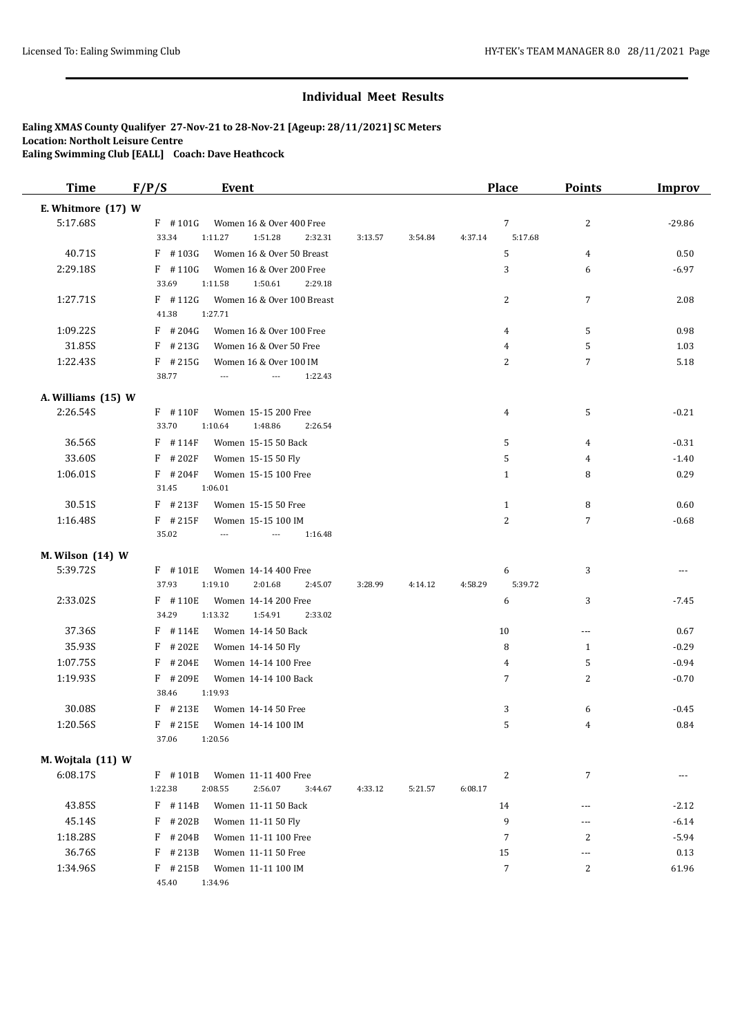| <b>Time</b>        | F/P/S               | <b>Event</b>                               |         |         |         | <b>Place</b>     | <b>Points</b>  | <b>Improv</b> |
|--------------------|---------------------|--------------------------------------------|---------|---------|---------|------------------|----------------|---------------|
| E. Whitmore (17) W |                     |                                            |         |         |         |                  |                |               |
| 5:17.68S           | $F$ #101G           | Women 16 & Over 400 Free                   |         |         |         | $\sqrt{ }$       | $\overline{c}$ | $-29.86$      |
|                    | 33.34               | 1:51.28<br>1:11.27<br>2:32.31              | 3:13.57 | 3:54.84 | 4:37.14 | 5:17.68          |                |               |
| 40.71S             | $F$ #103G           | Women 16 & Over 50 Breast                  |         |         |         | 5                | 4              | 0.50          |
| 2:29.18S           | $F$ #110G           | Women 16 & Over 200 Free                   |         |         |         | 3                | 6              | $-6.97$       |
|                    | 33.69               | 1:11.58<br>1:50.61<br>2:29.18              |         |         |         |                  |                |               |
| 1:27.71S           | $F$ #112G           | Women 16 & Over 100 Breast                 |         |         |         | 2                | $\overline{7}$ | 2.08          |
|                    | 41.38               | 1:27.71                                    |         |         |         |                  |                |               |
| 1:09.22S           | $F$ # 204G          | Women 16 & Over 100 Free                   |         |         |         | 4                | 5              | 0.98          |
| 31.85S             | $F$ # 213G          | Women 16 & Over 50 Free                    |         |         |         | 4                | 5              | 1.03          |
| 1:22.43S           | $F$ # 215G          | Women 16 & Over 100 IM                     |         |         |         | 2                | $\overline{7}$ | 5.18          |
|                    | 38.77               | 1:22.43<br>---<br>$\overline{\phantom{a}}$ |         |         |         |                  |                |               |
| A. Williams (15) W |                     |                                            |         |         |         |                  |                |               |
| 2:26.54S           | $F$ #110F           | Women 15-15 200 Free                       |         |         |         | 4                | 5              | $-0.21$       |
|                    | 33.70               | 1:48.86<br>1:10.64<br>2:26.54              |         |         |         |                  |                |               |
| 36.56S             | $F$ #114F           | Women 15-15 50 Back                        |         |         |         | 5                | 4              | $-0.31$       |
| 33.60S             | $F$ # 202F          | Women 15-15 50 Fly                         |         |         |         | 5                | 4              | $-1.40$       |
| 1:06.01S           | $F$ # 204F          | Women 15-15 100 Free                       |         |         |         | $\mathbf{1}$     | 8              | 0.29          |
|                    | 31.45               | 1:06.01                                    |         |         |         |                  |                |               |
| 30.51S             | $F$ # 213F          | Women 15-15 50 Free                        |         |         |         | $\mathbf{1}$     | 8              | 0.60          |
| 1:16.48S           | $F$ # 215F          | Women 15-15 100 IM                         |         |         |         | $\overline{2}$   | $\overline{7}$ | $-0.68$       |
|                    | 35.02               | 1:16.48<br>---                             |         |         |         |                  |                |               |
| M. Wilson (14) W   |                     |                                            |         |         |         |                  |                |               |
| 5:39.72S           | F #101E             | Women 14-14 400 Free                       |         |         |         | 6                | 3              | $- - -$       |
|                    | 37.93               | 1:19.10<br>2:01.68<br>2:45.07              | 3:28.99 | 4:14.12 | 4:58.29 | 5:39.72          |                |               |
| 2:33.02S           | F #110E             | Women 14-14 200 Free                       |         |         |         | 6                | 3              | $-7.45$       |
|                    | 34.29               | 1:13.32<br>1:54.91<br>2:33.02              |         |         |         |                  |                |               |
| 37.36S             | $F$ # 114E          | Women 14-14 50 Back                        |         |         |         | 10               | $\overline{a}$ | 0.67          |
| 35.93S             | #202E<br>F          | Women 14-14 50 Fly                         |         |         |         | 8                | $\mathbf{1}$   | $-0.29$       |
| 1:07.75S           | #204E<br>F          | Women 14-14 100 Free                       |         |         |         | 4                | 5              | $-0.94$       |
| 1:19.93S           | $F$ # 209E          | Women 14-14 100 Back                       |         |         |         | 7                | $\overline{c}$ | $-0.70$       |
|                    | 38.46               | 1:19.93                                    |         |         |         |                  |                |               |
| 30.08S             | $F$ # 213E          | Women 14-14 50 Free                        |         |         |         | 3                | 6              | $-0.45$       |
| 1:20.56S           | $F$ # 215E<br>37.06 | Women 14-14 100 IM<br>1:20.56              |         |         |         | 5                | 4              | 0.84          |
|                    |                     |                                            |         |         |         |                  |                |               |
| M. Wojtala (11) W  |                     |                                            |         |         |         |                  |                |               |
| 6:08.17S           | $F$ #101B           | Women 11-11 400 Free                       |         |         |         | $\overline{c}$   | $\overline{7}$ | ---           |
|                    | 1:22.38             | 2:08.55<br>2:56.07<br>3:44.67              | 4:33.12 | 5:21.57 | 6:08.17 |                  |                |               |
| 43.85S             | $F$ #114B           | Women 11-11 50 Back                        |         |         |         | 14               | $---$          | $-2.12$       |
| 45.14S             | #202B<br>F          | Women 11-11 50 Fly                         |         |         |         | 9                | ---            | $-6.14$       |
| 1:18.28S           | F<br>#204B          | Women 11-11 100 Free                       |         |         |         | $\boldsymbol{7}$ | 2              | $-5.94$       |
| 36.76S             | F<br>#213B          | Women 11-11 50 Free                        |         |         |         | 15               | ---            | 0.13          |
| 1:34.96S           | $F$ # 215B          | Women 11-11 100 IM                         |         |         |         | $\overline{7}$   | 2              | 61.96         |
|                    | 45.40               | 1:34.96                                    |         |         |         |                  |                |               |